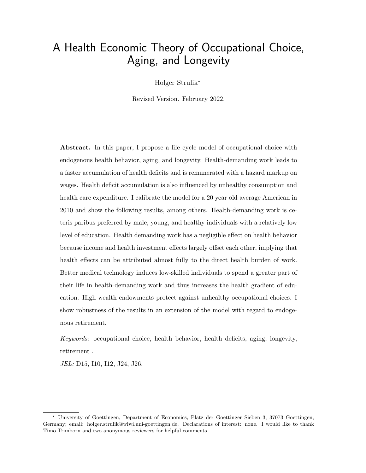# A Health Economic Theory of Occupational Choice, Aging, and Longevity

Holger Strulik\*

Revised Version. February 2022.

Abstract. In this paper, I propose a life cycle model of occupational choice with endogenous health behavior, aging, and longevity. Health-demanding work leads to a faster accumulation of health deficits and is remunerated with a hazard markup on wages. Health deficit accumulation is also influenced by unhealthy consumption and health care expenditure. I calibrate the model for a 20 year old average American in 2010 and show the following results, among others. Health-demanding work is ceteris paribus preferred by male, young, and healthy individuals with a relatively low level of education. Health demanding work has a negligible effect on health behavior because income and health investment effects largely offset each other, implying that health effects can be attributed almost fully to the direct health burden of work. Better medical technology induces low-skilled individuals to spend a greater part of their life in health-demanding work and thus increases the health gradient of education. High wealth endowments protect against unhealthy occupational choices. I show robustness of the results in an extension of the model with regard to endogenous retirement.

Keywords: occupational choice, health behavior, health deficits, aging, longevity, retirement .

JEL: D15, I10, I12, J24, J26.

<sup>\*</sup> University of Goettingen, Department of Economics, Platz der Goettinger Sieben 3, 37073 Goettingen, Germany; email: holger.strulik@wiwi.uni-goettingen.de. Declarations of interest: none. I would like to thank Timo Trimborn and two anonymous reviewers for helpful comments.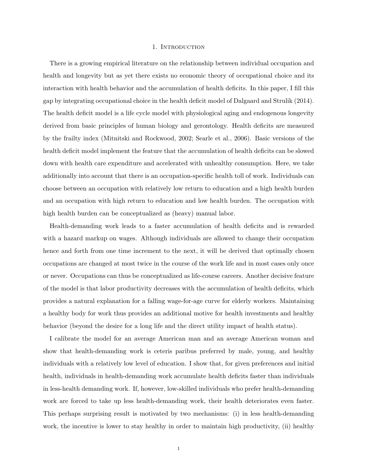#### 1. INTRODUCTION

There is a growing empirical literature on the relationship between individual occupation and health and longevity but as yet there exists no economic theory of occupational choice and its interaction with health behavior and the accumulation of health deficits. In this paper, I fill this gap by integrating occupational choice in the health deficit model of Dalgaard and Strulik (2014). The health deficit model is a life cycle model with physiological aging and endogenous longevity derived from basic principles of human biology and gerontology. Health deficits are measured by the frailty index (Mitnitski and Rockwood, 2002; Searle et al., 2006). Basic versions of the health deficit model implement the feature that the accumulation of health deficits can be slowed down with health care expenditure and accelerated with unhealthy consumption. Here, we take additionally into account that there is an occupation-specific health toll of work. Individuals can choose between an occupation with relatively low return to education and a high health burden and an occupation with high return to education and low health burden. The occupation with high health burden can be conceptualized as (heavy) manual labor.

Health-demanding work leads to a faster accumulation of health deficits and is rewarded with a hazard markup on wages. Although individuals are allowed to change their occupation hence and forth from one time increment to the next, it will be derived that optimally chosen occupations are changed at most twice in the course of the work life and in most cases only once or never. Occupations can thus be conceptualized as life-course careers. Another decisive feature of the model is that labor productivity decreases with the accumulation of health deficits, which provides a natural explanation for a falling wage-for-age curve for elderly workers. Maintaining a healthy body for work thus provides an additional motive for health investments and healthy behavior (beyond the desire for a long life and the direct utility impact of health status).

I calibrate the model for an average American man and an average American woman and show that health-demanding work is ceteris paribus preferred by male, young, and healthy individuals with a relatively low level of education. I show that, for given preferences and initial health, individuals in health-demanding work accumulate health deficits faster than individuals in less-health demanding work. If, however, low-skilled individuals who prefer health-demanding work are forced to take up less health-demanding work, their health deteriorates even faster. This perhaps surprising result is motivated by two mechanisms: (i) in less health-demanding work, the incentive is lower to stay healthy in order to maintain high productivity, (ii) healthy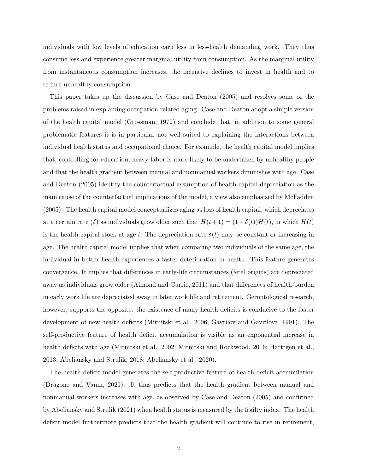individuals with low levels of education earn less in less-health demanding work. They thus consume less and experience greater marginal utility from consumption. As the marginal utility from instantaneous consumption increases, the incentive declines to invest in health and to reduce unhealthy consumption.

This paper takes up the discussion by Case and Deaton (2005) and resolves some of the problems raised in explaining occupation-related aging. Case and Deaton adopt a simple version of the health capital model (Grossman, 1972) and conclude that, in addition to some general problematic features it is in particular not well suited to explaining the interactions between individual health status and occupational choice. For example, the health capital model implies that, controlling for education, heavy labor is more likely to be undertaken by unhealthy people and that the health gradient between manual and nonmanual workers diminishes with age. Case and Deaton (2005) identify the counterfactual assumption of health capital depreciation as the main cause of the counterfactual implications of the model, a view also emphasized by McFadden (2005). The health capital model conceptualizes aging as loss of health capital, which depreciates at a certain rate (δ) as individuals grow older such that  $H(t+1) = (1-\delta(t))H(t)$ , in which  $H(t)$ is the health capital stock at age t. The depreciation rate  $\delta(t)$  may be constant or increasing in age. The health capital model implies that when comparing two individuals of the same age, the individual in better health experiences a faster deterioration in health. This feature generates convergence. It implies that differences in early-life circumstances (fetal origins) are depreciated away as individuals grow older (Almond and Currie, 2011) and that differences of health-burden in early work life are depreciated away in later work life and retirement. Gerontological research, however, supports the opposite: the existence of many health deficits is conducive to the faster development of new health deficits (Mitnitski et al., 2006, Gavrilov and Gavrilova, 1991). The self-productive feature of health deficit accumulation is visible as an exponential increase in health deficits with age (Mitnitski et al., 2002; Mitnitski and Rockwood, 2016; Harttgen et al., 2013; Abeliansky and Strulik, 2018; Abeliansky et al., 2020).

The health deficit model generates the self-productive feature of health deficit accumulation (Dragone and Vanin, 2021). It thus predicts that the health gradient between manual and nonmanual workers increases with age, as observed by Case and Deaton (2005) and confirmed by Abeliansky and Strulik (2021) when health status is measured by the frailty index. The health deficit model furthermore predicts that the health gradient will continue to rise in retirement,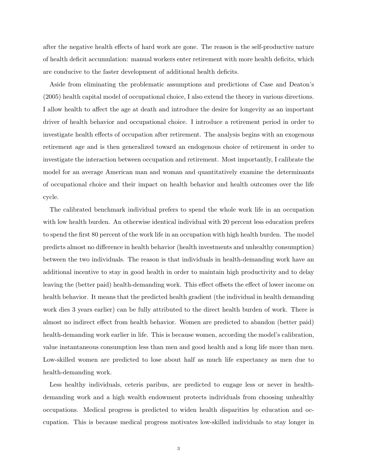after the negative health effects of hard work are gone. The reason is the self-productive nature of health deficit accumulation: manual workers enter retirement with more health deficits, which are conducive to the faster development of additional health deficits.

Aside from eliminating the problematic assumptions and predictions of Case and Deaton's (2005) health capital model of occupational choice, I also extend the theory in various directions. I allow health to affect the age at death and introduce the desire for longevity as an important driver of health behavior and occupational choice. I introduce a retirement period in order to investigate health effects of occupation after retirement. The analysis begins with an exogenous retirement age and is then generalized toward an endogenous choice of retirement in order to investigate the interaction between occupation and retirement. Most importantly, I calibrate the model for an average American man and woman and quantitatively examine the determinants of occupational choice and their impact on health behavior and health outcomes over the life cycle.

The calibrated benchmark individual prefers to spend the whole work life in an occupation with low health burden. An otherwise identical individual with 20 percent less education prefers to spend the first 80 percent of the work life in an occupation with high health burden. The model predicts almost no difference in health behavior (health investments and unhealthy consumption) between the two individuals. The reason is that individuals in health-demanding work have an additional incentive to stay in good health in order to maintain high productivity and to delay leaving the (better paid) health-demanding work. This effect offsets the effect of lower income on health behavior. It means that the predicted health gradient (the individual in health demanding work dies 3 years earlier) can be fully attributed to the direct health burden of work. There is almost no indirect effect from health behavior. Women are predicted to abandon (better paid) health-demanding work earlier in life. This is because women, according the model's calibration, value instantaneous consumption less than men and good health and a long life more than men. Low-skilled women are predicted to lose about half as much life expectancy as men due to health-demanding work.

Less healthy individuals, ceteris paribus, are predicted to engage less or never in healthdemanding work and a high wealth endowment protects individuals from choosing unhealthy occupations. Medical progress is predicted to widen health disparities by education and occupation. This is because medical progress motivates low-skilled individuals to stay longer in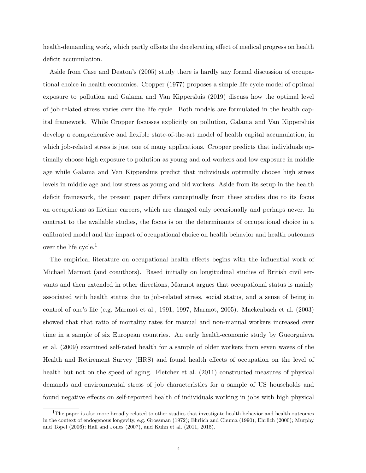health-demanding work, which partly offsets the decelerating effect of medical progress on health deficit accumulation.

Aside from Case and Deaton's (2005) study there is hardly any formal discussion of occupational choice in health economics. Cropper (1977) proposes a simple life cycle model of optimal exposure to pollution and Galama and Van Kippersluis (2019) discuss how the optimal level of job-related stress varies over the life cycle. Both models are formulated in the health capital framework. While Cropper focusses explicitly on pollution, Galama and Van Kippersluis develop a comprehensive and flexible state-of-the-art model of health capital accumulation, in which job-related stress is just one of many applications. Cropper predicts that individuals optimally choose high exposure to pollution as young and old workers and low exposure in middle age while Galama and Van Kippersluis predict that individuals optimally choose high stress levels in middle age and low stress as young and old workers. Aside from its setup in the health deficit framework, the present paper differs conceptually from these studies due to its focus on occupations as lifetime careers, which are changed only occasionally and perhaps never. In contrast to the available studies, the focus is on the determinants of occupational choice in a calibrated model and the impact of occupational choice on health behavior and health outcomes over the life cycle. $<sup>1</sup>$ </sup>

The empirical literature on occupational health effects begins with the influential work of Michael Marmot (and coauthors). Based initially on longitudinal studies of British civil servants and then extended in other directions, Marmot argues that occupational status is mainly associated with health status due to job-related stress, social status, and a sense of being in control of one's life (e.g. Marmot et al., 1991, 1997, Marmot, 2005). Mackenbach et al. (2003) showed that that ratio of mortality rates for manual and non-manual workers increased over time in a sample of six European countries. An early health-economic study by Gueorguieva et al. (2009) examined self-rated health for a sample of older workers from seven waves of the Health and Retirement Survey (HRS) and found health effects of occupation on the level of health but not on the speed of aging. Fletcher et al. (2011) constructed measures of physical demands and environmental stress of job characteristics for a sample of US households and found negative effects on self-reported health of individuals working in jobs with high physical

 $1$ The paper is also more broadly related to other studies that investigate health behavior and health outcomes in the context of endogenous longevity, e.g. Grossman (1972); Ehrlich and Chuma (1990); Ehrlich (2000); Murphy and Topel (2006); Hall and Jones (2007), and Kuhn et al. (2011, 2015).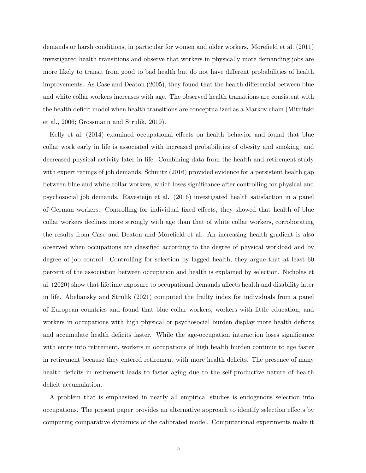demands or harsh conditions, in particular for women and older workers. Morefield et al. (2011) investigated health transitions and observe that workers in physically more demanding jobs are more likely to transit from good to bad health but do not have different probabilities of health improvements. As Case and Deaton (2005), they found that the health differential between blue and white collar workers increases with age. The observed health transitions are consistent with the health deficit model when health transitions are conceptualized as a Markov chain (Mitnitski et al., 2006; Grossmann and Strulik, 2019).

Kelly et al. (2014) examined occupational effects on health behavior and found that blue collar work early in life is associated with increased probabilities of obesity and smoking, and decreased physical activity later in life. Combining data from the health and retirement study with expert ratings of job demands, Schmitz (2016) provided evidence for a persistent health gap between blue and white collar workers, which loses significance after controlling for physical and psychosocial job demands. Ravesteijn et al. (2016) investigated health satisfaction in a panel of German workers. Controlling for individual fixed effects, they showed that health of blue collar workers declines more strongly with age than that of white collar workers, corroborating the results from Case and Deaton and Morefield et al. An increasing health gradient is also observed when occupations are classified according to the degree of physical workload and by degree of job control. Controlling for selection by lagged health, they argue that at least 60 percent of the association between occupation and health is explained by selection. Nicholas et al. (2020) show that lifetime exposure to occupational demands affects health and disability later in life. Abeliansky and Strulik (2021) computed the frailty index for individuals from a panel of European countries and found that blue collar workers, workers with little education, and workers in occupations with high physical or psychosocial burden display more health deficits and accumulate health deficits faster. While the age-occupation interaction loses significance with entry into retirement, workers in occupations of high health burden continue to age faster in retirement because they entered retirement with more health deficits. The presence of many health deficits in retirement leads to faster aging due to the self-productive nature of health deficit accumulation.

A problem that is emphasized in nearly all empirical studies is endogenous selection into occupations. The present paper provides an alternative approach to identify selection effects by computing comparative dynamics of the calibrated model. Computational experiments make it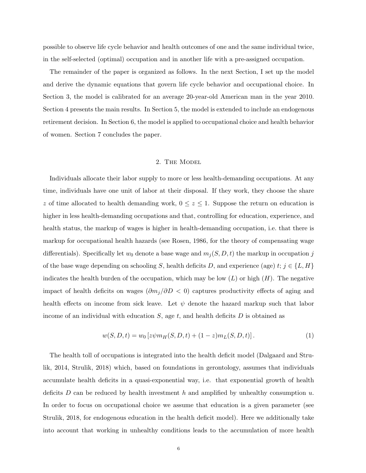possible to observe life cycle behavior and health outcomes of one and the same individual twice, in the self-selected (optimal) occupation and in another life with a pre-assigned occupation.

The remainder of the paper is organized as follows. In the next Section, I set up the model and derive the dynamic equations that govern life cycle behavior and occupational choice. In Section 3, the model is calibrated for an average 20-year-old American man in the year 2010. Section 4 presents the main results. In Section 5, the model is extended to include an endogenous retirement decision. In Section 6, the model is applied to occupational choice and health behavior of women. Section 7 concludes the paper.

## 2. The Model

Individuals allocate their labor supply to more or less health-demanding occupations. At any time, individuals have one unit of labor at their disposal. If they work, they choose the share z of time allocated to health demanding work,  $0 \leq z \leq 1$ . Suppose the return on education is higher in less health-demanding occupations and that, controlling for education, experience, and health status, the markup of wages is higher in health-demanding occupation, i.e. that there is markup for occupational health hazards (see Rosen, 1986, for the theory of compensating wage differentials). Specifically let  $w_0$  denote a base wage and  $m_j(S, D, t)$  the markup in occupation j of the base wage depending on schooling S, health deficits D, and experience (age) t;  $j \in \{L, H\}$ indicates the health burden of the occupation, which may be low  $(L)$  or high  $(H)$ . The negative impact of health deficits on wages  $(\partial m_j/\partial D < 0)$  captures productivity effects of aging and health effects on income from sick leave. Let  $\psi$  denote the hazard markup such that labor income of an individual with education  $S$ , age  $t$ , and health deficits  $D$  is obtained as

$$
w(S, D, t) = w_0 \left[ z \psi m_H(S, D, t) + (1 - z) m_L(S, D, t) \right]. \tag{1}
$$

The health toll of occupations is integrated into the health deficit model (Dalgaard and Strulik, 2014, Strulik, 2018) which, based on foundations in gerontology, assumes that individuals accumulate health deficits in a quasi-exponential way, i.e. that exponential growth of health deficits D can be reduced by health investment h and amplified by unhealthy consumption  $u$ . In order to focus on occupational choice we assume that education is a given parameter (see Strulik, 2018, for endogenous education in the health deficit model). Here we additionally take into account that working in unhealthy conditions leads to the accumulation of more health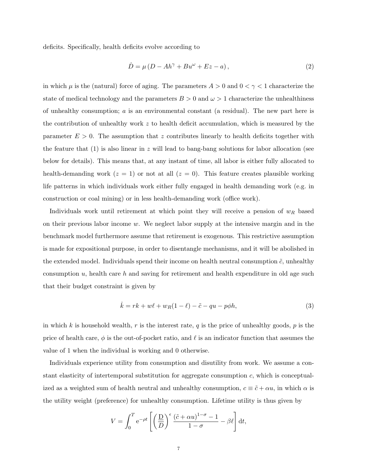deficits. Specifically, health deficits evolve according to

$$
\dot{D} = \mu \left( D - Ah^{\gamma} + Bu^{\omega} + Ez - a \right),\tag{2}
$$

in which  $\mu$  is the (natural) force of aging. The parameters  $A > 0$  and  $0 < \gamma < 1$  characterize the state of medical technology and the parameters  $B > 0$  and  $\omega > 1$  characterize the unhealthiness of unhealthy consumption;  $a$  is an environmental constant (a residual). The new part here is the contribution of unhealthy work  $z$  to health deficit accumulation, which is measured by the parameter  $E > 0$ . The assumption that z contributes linearly to health deficits together with the feature that  $(1)$  is also linear in z will lead to bang-bang solutions for labor allocation (see below for details). This means that, at any instant of time, all labor is either fully allocated to health-demanding work  $(z = 1)$  or not at all  $(z = 0)$ . This feature creates plausible working life patterns in which individuals work either fully engaged in health demanding work (e.g. in construction or coal mining) or in less health-demanding work (office work).

Individuals work until retirement at which point they will receive a pension of  $w_R$  based on their previous labor income w. We neglect labor supply at the intensive margin and in the benchmark model furthermore assume that retirement is exogenous. This restrictive assumption is made for expositional purpose, in order to disentangle mechanisms, and it will be abolished in the extended model. Individuals spend their income on health neutral consumption  $\tilde{c}$ , unhealthy consumption u, health care h and saving for retirement and health expenditure in old age such that their budget constraint is given by

$$
\dot{k} = rk + w\ell + w_R(1 - \ell) - \tilde{c} - qu - p\phi h,\tag{3}
$$

in which k is household wealth, r is the interest rate, q is the price of unhealthy goods, p is the price of health care,  $\phi$  is the out-of-pocket ratio, and  $\ell$  is an indicator function that assumes the value of 1 when the individual is working and 0 otherwise.

Individuals experience utility from consumption and disutility from work. We assume a constant elasticity of intertemporal substitution for aggregate consumption  $c$ , which is conceptualized as a weighted sum of health neutral and unhealthy consumption,  $c \equiv \tilde{c} + \alpha u$ , in which  $\alpha$  is the utility weight (preference) for unhealthy consumption. Lifetime utility is thus given by

$$
V = \int_0^T e^{-\rho t} \left[ \left( \frac{D}{D} \right)^{\epsilon} \frac{(\tilde{c} + \alpha u)^{1-\sigma} - 1}{1-\sigma} - \beta \ell \right] dt,
$$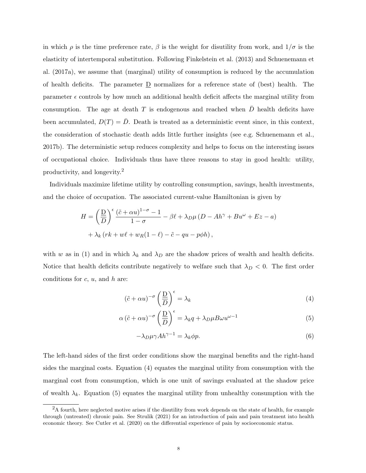in which  $\rho$  is the time preference rate,  $\beta$  is the weight for disutility from work, and  $1/\sigma$  is the elasticity of intertemporal substitution. Following Finkelstein et al. (2013) and Schuenemann et al. (2017a), we assume that (marginal) utility of consumption is reduced by the accumulation of health deficits. The parameter  $\underline{D}$  normalizes for a reference state of (best) health. The parameter  $\epsilon$  controls by how much an additional health deficit affects the marginal utility from consumption. The age at death T is endogenous and reached when  $\bar{D}$  health deficits have been accumulated,  $D(T) = D$ . Death is treated as a deterministic event since, in this context, the consideration of stochastic death adds little further insights (see e.g. Schuenemann et al., 2017b). The deterministic setup reduces complexity and helps to focus on the interesting issues of occupational choice. Individuals thus have three reasons to stay in good health: utility, productivity, and longevity.<sup>2</sup>

Individuals maximize lifetime utility by controlling consumption, savings, health investments, and the choice of occupation. The associated current-value Hamiltonian is given by

$$
H = \left(\frac{D}{D}\right)^{\epsilon} \frac{(\tilde{c} + \alpha u)^{1-\sigma} - 1}{1 - \sigma} - \beta \ell + \lambda_D \mu (D - Ah^{\gamma} + Bu^{\omega} + Ez - a)
$$

$$
+ \lambda_k (rk + w\ell + w_R(1 - \ell) - \tilde{c} - qu - p\phi h),
$$

with w as in (1) and in which  $\lambda_k$  and  $\lambda_D$  are the shadow prices of wealth and health deficits. Notice that health deficits contribute negatively to welfare such that  $\lambda_D < 0$ . The first order conditions for  $c, u$ , and  $h$  are:

$$
\left(\tilde{c} + \alpha u\right)^{-\sigma} \left(\frac{D}{D}\right)^{\epsilon} = \lambda_k \tag{4}
$$

$$
\alpha (\tilde{c} + \alpha u)^{-\sigma} \left(\frac{D}{D}\right)^{\epsilon} = \lambda_k q + \lambda_D \mu B \omega u^{\omega - 1}
$$
 (5)

$$
-\lambda_D \mu \gamma A h^{\gamma - 1} = \lambda_k \phi p. \tag{6}
$$

The left-hand sides of the first order conditions show the marginal benefits and the right-hand sides the marginal costs. Equation (4) equates the marginal utility from consumption with the marginal cost from consumption, which is one unit of savings evaluated at the shadow price of wealth  $\lambda_k$ . Equation (5) equates the marginal utility from unhealthy consumption with the

<sup>2</sup>A fourth, here neglected motive arises if the disutility from work depends on the state of health, for example through (untreated) chronic pain. See Strulik (2021) for an introduction of pain and pain treatment into health economic theory. See Cutler et al. (2020) on the differential experience of pain by socioeconomic status.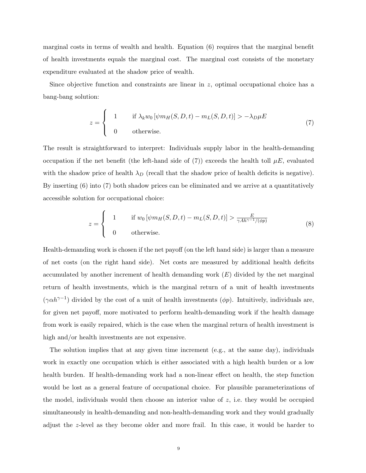marginal costs in terms of wealth and health. Equation (6) requires that the marginal benefit of health investments equals the marginal cost. The marginal cost consists of the monetary expenditure evaluated at the shadow price of wealth.

Since objective function and constraints are linear in z, optimal occupational choice has a bang-bang solution:

$$
z = \begin{cases} 1 & \text{if } \lambda_k w_0 \left[ \psi m_H(S, D, t) - m_L(S, D, t) \right] > -\lambda_D \mu E \\ 0 & \text{otherwise.} \end{cases}
$$
(7)

The result is straightforward to interpret: Individuals supply labor in the health-demanding occupation if the net benefit (the left-hand side of (7)) exceeds the health toll  $\mu E$ , evaluated with the shadow price of health  $\lambda_D$  (recall that the shadow price of health deficits is negative). By inserting (6) into (7) both shadow prices can be eliminated and we arrive at a quantitatively accessible solution for occupational choice:

$$
z = \begin{cases} 1 & \text{if } w_0 \left[ \psi m_H(S, D, t) - m_L(S, D, t) \right] > \frac{E}{\gamma A h^{\gamma - 1} / (\phi p)} \\ 0 & \text{otherwise.} \end{cases}
$$
(8)

Health-demanding work is chosen if the net payoff (on the left hand side) is larger than a measure of net costs (on the right hand side). Net costs are measured by additional health deficits accumulated by another increment of health demanding work  $(E)$  divided by the net marginal return of health investments, which is the marginal return of a unit of health investments  $(\gamma \alpha h^{\gamma-1})$  divided by the cost of a unit of health investments  $(\phi p)$ . Intuitively, individuals are, for given net payoff, more motivated to perform health-demanding work if the health damage from work is easily repaired, which is the case when the marginal return of health investment is high and/or health investments are not expensive.

The solution implies that at any given time increment (e.g., at the same day), individuals work in exactly one occupation which is either associated with a high health burden or a low health burden. If health-demanding work had a non-linear effect on health, the step function would be lost as a general feature of occupational choice. For plausible parameterizations of the model, individuals would then choose an interior value of  $z$ , i.e. they would be occupied simultaneously in health-demanding and non-health-demanding work and they would gradually adjust the z-level as they become older and more frail. In this case, it would be harder to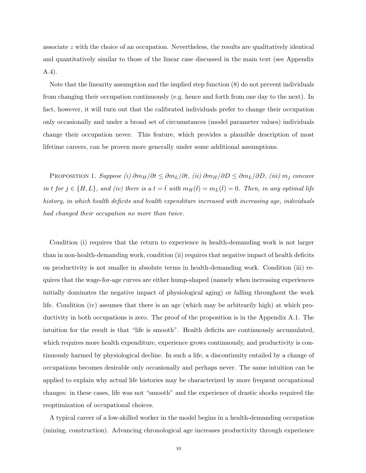associate z with the choice of an occupation. Nevertheless, the results are qualitatively identical and quantitatively similar to those of the linear case discussed in the main text (see Appendix A.4).

Note that the linearity assumption and the implied step function (8) do not prevent individuals from changing their occupation continuously (e.g. hence and forth from one day to the next). In fact, however, it will turn out that the calibrated individuals prefer to change their occupation only occasionally and under a broad set of circumstances (model parameter values) individuals change their occupation never. This feature, which provides a plausible description of most lifetime careers, can be proven more generally under some additional assumptions.

PROPOSITION 1. Suppose (i)  $\partial m_H/\partial t \leq \partial m_L/\partial t$ , (ii)  $\partial m_H/\partial D \leq \partial m_L/\partial D$ , (iii)  $m_j$  concave in t for  $j \in \{H, L\}$ , and (iv) there is a  $t = \overline{t}$  with  $m_H(\overline{t}) = m_L(\overline{t}) = 0$ . Then, in any optimal life history, in which health deficits and health expenditure increased with increasing age, individuals had changed their occupation no more than twice.

Condition (i) requires that the return to experience in health-demanding work is not larger than in non-health-demanding work, condition (ii) requires that negative impact of health deficits on productivity is not smaller in absolute terms in health-demanding work. Condition (iii) requires that the wage-for-age curves are either hump-shaped (namely when increasing experiences initially dominates the negative impact of physiological aging) or falling throughout the work life. Condition (iv) assumes that there is an age (which may be arbitrarily high) at which productivity in both occupations is zero. The proof of the proposition is in the Appendix A.1. The intuition for the result is that "life is smooth". Health deficits are continuously accumulated, which requires more health expenditure, experience grows continuously, and productivity is continuously harmed by physiological decline. In such a life, a discontinuity entailed by a change of occupations becomes desirable only occasionally and perhaps never. The same intuition can be applied to explain why actual life histories may be characterized by more frequent occupational changes: in these cases, life was not "smooth" and the experience of drastic shocks required the reoptimization of occupational choices.

A typical career of a low-skilled worker in the model begins in a health-demanding occupation (mining, construction). Advancing chronological age increases productivity through experience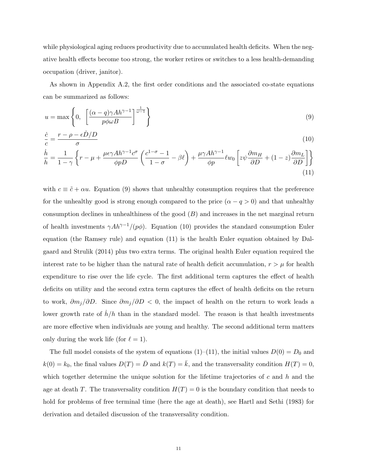while physiological aging reduces productivity due to accumulated health deficits. When the negative health effects become too strong, the worker retires or switches to a less health-demanding occupation (driver, janitor).

As shown in Appendix A.2, the first order conditions and the associated co-state equations can be summarized as follows:

$$
u = \max\left\{0, \left[\frac{(\alpha - q)\gamma Ah^{\gamma - 1}}{p\phi\omega B}\right]^{\frac{1}{\omega - 1}}\right\}
$$
\n(9)

$$
\frac{\dot{c}}{c} = \frac{r - \rho - \epsilon \dot{D}/D}{\sigma} \tag{10}
$$

$$
\frac{\dot{h}}{h} = \frac{1}{1-\gamma} \left\{ r - \mu + \frac{\mu \epsilon \gamma A h^{\gamma - 1} c^{\sigma}}{\phi p D} \left( \frac{c^{1-\sigma} - 1}{1 - \sigma} - \beta \ell \right) + \frac{\mu \gamma A h^{\gamma - 1}}{\phi p} \ell w_0 \left[ z \psi \frac{\partial m_H}{\partial D} + (1 - z) \frac{\partial m_L}{\partial D} \right] \right\}
$$
\n(11)

with  $c \equiv \tilde{c} + \alpha u$ . Equation (9) shows that unhealthy consumption requires that the preference for the unhealthy good is strong enough compared to the price  $(\alpha - q > 0)$  and that unhealthy consumption declines in unhealthiness of the good  $(B)$  and increases in the net marginal return of health investments  $\gamma Ah^{\gamma-1}/(p\phi)$ . Equation (10) provides the standard consumption Euler equation (the Ramsey rule) and equation (11) is the health Euler equation obtained by Dalgaard and Strulik (2014) plus two extra terms. The original health Euler equation required the interest rate to be higher than the natural rate of health deficit accumulation,  $r > \mu$  for health expenditure to rise over the life cycle. The first additional term captures the effect of health deficits on utility and the second extra term captures the effect of health deficits on the return to work,  $\partial m_j/\partial D$ . Since  $\partial m_j/\partial D < 0$ , the impact of health on the return to work leads a lower growth rate of  $h/h$  than in the standard model. The reason is that health investments are more effective when individuals are young and healthy. The second additional term matters only during the work life (for  $\ell = 1$ ).

The full model consists of the system of equations (1)–(11), the initial values  $D(0) = D_0$  and  $k(0) = k_0$ , the final values  $D(T) = \overline{D}$  and  $k(T) = \overline{k}$ , and the transversality condition  $H(T) = 0$ , which together determine the unique solution for the lifetime trajectories of  $c$  and  $h$  and the age at death T. The transversality condition  $H(T) = 0$  is the boundary condition that needs to hold for problems of free terminal time (here the age at death), see Hartl and Sethi (1983) for derivation and detailed discussion of the transversality condition.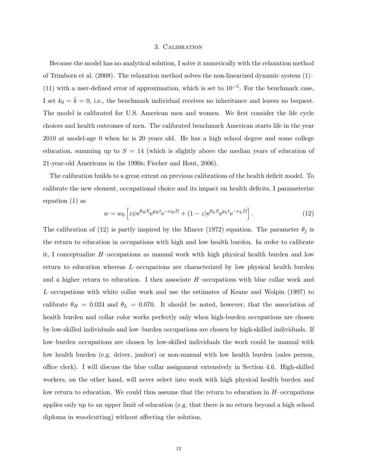#### 3. Calibration

Because the model has no analytical solution, I solve it numerically with the relaxation method of Trimborn et al. (2008). The relaxation method solves the non-linearized dynamic system  $(1)$ (11) with a user-defined error of approximation, which is set to  $10^{-5}$ . For the benchmark case, I set  $k_0 = \overline{k} = 0$ , i.e., the benchmark individual receives no inheritance and leaves no bequest. The model is calibrated for U.S. American men and women. We first consider the life cycle choices and health outcomes of men. The calibrated benchmark American starts life in the year 2010 at model-age 0 when he is 20 years old. He has a high school degree and some college education, summing up to  $S = 14$  (which is slightly above the median years of education of 21-year-old Americans in the 1990s; Fischer and Hout, 2006).

The calibration builds to a great extent on previous calibrations of the health deficit model. To calibrate the new element, occupational choice and its impact on health deficits, I parameterize equation (1) as

$$
w = w_0 \left[ z \psi e^{\theta_H S} e^{g_H t} e^{-\nu_H D} + (1 - z) e^{\theta_L S} e^{g_L t} e^{-\nu_L D} \right].
$$
 (12)

The calibration of (12) is partly inspired by the Mincer (1972) equation. The parameter  $\theta_j$  is the return to education in occupations with high and low health burden. In order to calibrate it, I conceptualize  $H$ -occupations as manual work with high physical health burden and low return to education whereas L–occupations are characterized by low physical health burden and a higher return to education. I then associate H–occupations with blue collar work and L–occupations with white collar work and use the estimates of Keane and Wolpin (1997) to calibrate  $\theta_H = 0.024$  and  $\theta_L = 0.070$ . It should be noted, however, that the association of health burden and collar color works perfectly only when high-burden occupations are chosen by low-skilled individuals and low–burden occupations are chosen by high-skilled individuals. If low–burden occupations are chosen by low-skilled individuals the work could be manual with low health burden (e.g. driver, janitor) or non-manual with low health burden (sales person, office clerk). I will discuss the blue collar assignment extensively in Section 4.6. High-skilled workers, on the other hand, will never select into work with high physical health burden and low return to education. We could thus assume that the return to education in  $H$ –occupations applies only up to an upper limit of education (e.g. that there is no return beyond a high school diploma in woodcutting) without affecting the solution.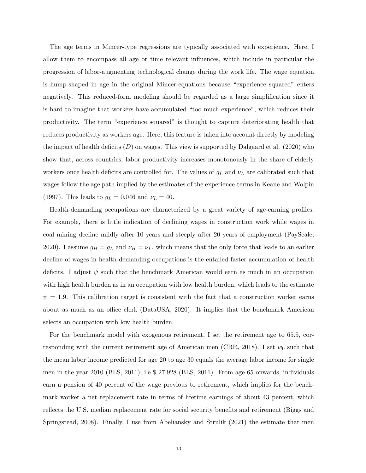The age terms in Mincer-type regressions are typically associated with experience. Here, I allow them to encompass all age or time relevant influences, which include in particular the progression of labor-augmenting technological change during the work life. The wage equation is hump-shaped in age in the original Mincer-equations because "experience squared" enters negatively. This reduced-form modeling should be regarded as a large simplification since it is hard to imagine that workers have accumulated "too much experience", which reduces their productivity. The term "experience squared" is thought to capture deteriorating health that reduces productivity as workers age. Here, this feature is taken into account directly by modeling the impact of health deficits  $(D)$  on wages. This view is supported by Dalgaard et al. (2020) who show that, across countries, labor productivity increases monotonously in the share of elderly workers once health deficits are controlled for. The values of  $g_L$  and  $\nu_L$  are calibrated such that wages follow the age path implied by the estimates of the experience-terms in Keane and Wolpin (1997). This leads to  $g_L = 0.046$  and  $\nu_L = 40$ .

Health-demanding occupations are characterized by a great variety of age-earning profiles. For example, there is little indication of declining wages in construction work while wages in coal mining decline mildly after 10 years and steeply after 20 years of employment (PayScale, 2020). I assume  $g_H = g_L$  and  $\nu_H = \nu_L$ , which means that the only force that leads to an earlier decline of wages in health-demanding occupations is the entailed faster accumulation of health deficits. I adjust  $\psi$  such that the benchmark American would earn as much in an occupation with high health burden as in an occupation with low health burden, which leads to the estimate  $\psi = 1.9$ . This calibration target is consistent with the fact that a construction worker earns about as much as an office clerk (DataUSA, 2020). It implies that the benchmark American selects an occupation with low health burden.

For the benchmark model with exogenous retirement, I set the retirement age to 65.5, corresponding with the current retirement age of American men (CRR, 2018). I set  $w_0$  such that the mean labor income predicted for age 20 to age 30 equals the average labor income for single men in the year 2010 (BLS, 2011), i.e \$ 27,928 (BLS, 2011). From age 65 onwards, individuals earn a pension of 40 percent of the wage previous to retirement, which implies for the benchmark worker a net replacement rate in terms of lifetime earnings of about 43 percent, which reflects the U.S. median replacement rate for social security benefits and retirement (Biggs and Springstead, 2008). Finally, I use from Abeliansky and Strulik (2021) the estimate that men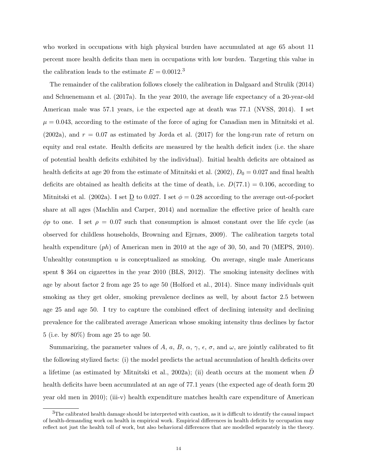who worked in occupations with high physical burden have accumulated at age 65 about 11 percent more health deficits than men in occupations with low burden. Targeting this value in the calibration leads to the estimate  $E = 0.0012$ <sup>3</sup>

The remainder of the calibration follows closely the calibration in Dalgaard and Strulik (2014) and Schuenemann et al. (2017a). In the year 2010, the average life expectancy of a 20-year-old American male was 57.1 years, i.e the expected age at death was 77.1 (NVSS, 2014). I set  $\mu = 0.043$ , according to the estimate of the force of aging for Canadian men in Mitnitski et al.  $(2002a)$ , and  $r = 0.07$  as estimated by Jorda et al.  $(2017)$  for the long-run rate of return on equity and real estate. Health deficits are measured by the health deficit index (i.e. the share of potential health deficits exhibited by the individual). Initial health deficits are obtained as health deficits at age 20 from the estimate of Mitnitski et al. (2002),  $D_0 = 0.027$  and final health deficits are obtained as health deficits at the time of death, i.e.  $D(77.1) = 0.106$ , according to Mitnitski et al. (2002a). I set  $\underline{D}$  to 0.027. I set  $\phi = 0.28$  according to the average out-of-pocket share at all ages (Machlin and Carper, 2014) and normalize the effective price of health care  $φp$  to one. I set  $ρ = 0.07$  such that consumption is almost constant over the life cycle (as observed for childless households, Browning and Ejrnæs, 2009). The calibration targets total health expenditure  $(ph)$  of American men in 2010 at the age of 30, 50, and 70 (MEPS, 2010). Unhealthy consumption  $u$  is conceptualized as smoking. On average, single male Americans spent \$ 364 on cigarettes in the year 2010 (BLS, 2012). The smoking intensity declines with age by about factor 2 from age 25 to age 50 (Holford et al., 2014). Since many individuals quit smoking as they get older, smoking prevalence declines as well, by about factor 2.5 between age 25 and age 50. I try to capture the combined effect of declining intensity and declining prevalence for the calibrated average American whose smoking intensity thus declines by factor 5 (i.e. by 80%) from age 25 to age 50.

Summarizing, the parameter values of A, a, B,  $\alpha$ ,  $\gamma$ ,  $\epsilon$ ,  $\sigma$ , and  $\omega$ , are jointly calibrated to fit the following stylized facts: (i) the model predicts the actual accumulation of health deficits over a lifetime (as estimated by Mitnitski et al., 2002a); (ii) death occurs at the moment when  $D$ health deficits have been accumulated at an age of 77.1 years (the expected age of death form 20 year old men in 2010); (iii-v) health expenditure matches health care expenditure of American

 $3$ The calibrated health damage should be interpreted with caution, as it is difficult to identify the causal impact of health-demanding work on health in empirical work. Empirical differences in health deficits by occupation may reflect not just the health toll of work, but also behavioral differences that are modelled separately in the theory.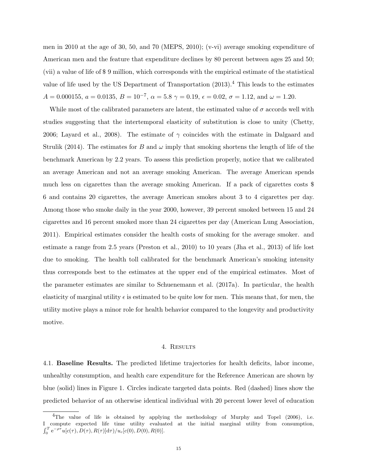men in 2010 at the age of 30, 50, and 70 (MEPS, 2010); (v-vi) average smoking expenditure of American men and the feature that expenditure declines by 80 percent between ages 25 and 50; (vii) a value of life of \$ 9 million, which corresponds with the empirical estimate of the statistical value of life used by the US Department of Transportation  $(2013).<sup>4</sup>$  This leads to the estimates  $A = 0.000155, a = 0.0135, B = 10^{-7}, \alpha = 5.8 \gamma = 0.19, \epsilon = 0.02, \sigma = 1.12, \text{ and } \omega = 1.20.$ 

While most of the calibrated parameters are latent, the estimated value of  $\sigma$  accords well with studies suggesting that the intertemporal elasticity of substitution is close to unity (Chetty, 2006; Layard et al., 2008). The estimate of  $\gamma$  coincides with the estimate in Dalgaard and Strulik (2014). The estimates for B and  $\omega$  imply that smoking shortens the length of life of the benchmark American by 2.2 years. To assess this prediction properly, notice that we calibrated an average American and not an average smoking American. The average American spends much less on cigarettes than the average smoking American. If a pack of cigarettes costs \$ 6 and contains 20 cigarettes, the average American smokes about 3 to 4 cigarettes per day. Among those who smoke daily in the year 2000, however, 39 percent smoked between 15 and 24 cigarettes and 16 percent smoked more than 24 cigarettes per day (American Lung Association, 2011). Empirical estimates consider the health costs of smoking for the average smoker. and estimate a range from 2.5 years (Preston et al., 2010) to 10 years (Jha et al., 2013) of life lost due to smoking. The health toll calibrated for the benchmark American's smoking intensity thus corresponds best to the estimates at the upper end of the empirical estimates. Most of the parameter estimates are similar to Schuenemann et al. (2017a). In particular, the health elasticity of marginal utility  $\epsilon$  is estimated to be quite low for men. This means that, for men, the utility motive plays a minor role for health behavior compared to the longevity and productivity motive.

#### 4. Results

4.1. Baseline Results. The predicted lifetime trajectories for health deficits, labor income, unhealthy consumption, and health care expenditure for the Reference American are shown by blue (solid) lines in Figure 1. Circles indicate targeted data points. Red (dashed) lines show the predicted behavior of an otherwise identical individual with 20 percent lower level of education

 $4$ The value of life is obtained by applying the methodology of Murphy and Topel (2006), i.e. I compute expected life time utility evaluated at the initial marginal utility from consumption,  $\int_0^T e^{-\rho \tau} u[c(\tau), D(\tau), R(\tau)] d\tau) / u_c[c(0), D(0), R(0)].$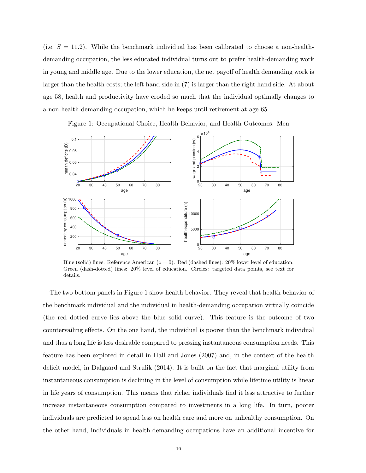(i.e.  $S = 11.2$ ). While the benchmark individual has been calibrated to choose a non-healthdemanding occupation, the less educated individual turns out to prefer health-demanding work in young and middle age. Due to the lower education, the net payoff of health demanding work is larger than the health costs; the left hand side in (7) is larger than the right hand side. At about age 58, health and productivity have eroded so much that the individual optimally changes to a non-health-demanding occupation, which he keeps until retirement at age 65.



Figure 1: Occupational Choice, Health Behavior, and Health Outcomes: Men

Blue (solid) lines: Reference American ( $z = 0$ ). Red (dashed lines): 20% lower level of education. Green (dash-dotted) lines: 20% level of education. Circles: targeted data points, see text for details.

The two bottom panels in Figure 1 show health behavior. They reveal that health behavior of the benchmark individual and the individual in health-demanding occupation virtually coincide (the red dotted curve lies above the blue solid curve). This feature is the outcome of two countervailing effects. On the one hand, the individual is poorer than the benchmark individual and thus a long life is less desirable compared to pressing instantaneous consumption needs. This feature has been explored in detail in Hall and Jones (2007) and, in the context of the health deficit model, in Dalgaard and Strulik (2014). It is built on the fact that marginal utility from instantaneous consumption is declining in the level of consumption while lifetime utility is linear in life years of consumption. This means that richer individuals find it less attractive to further increase instantaneous consumption compared to investments in a long life. In turn, poorer individuals are predicted to spend less on health care and more on unhealthy consumption. On the other hand, individuals in health-demanding occupations have an additional incentive for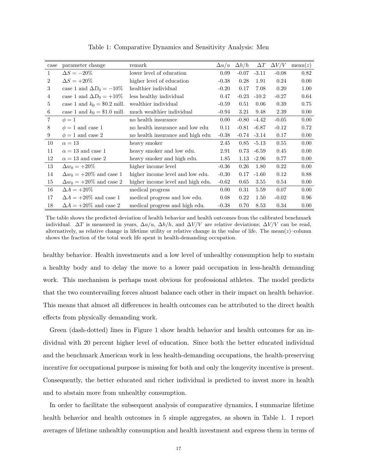| case           | parameter change                | remark                            | $\Delta u/u$ | $\Delta h/h$ | $\Delta T$ | $\Delta V/V$ | mean(z) |
|----------------|---------------------------------|-----------------------------------|--------------|--------------|------------|--------------|---------|
| $\mathbf{1}$   | $\Delta S = -20\%$              | lower level of education          | 0.09         | $-0.07$      | $-3.11$    | $-0.08$      | 0.82    |
| 2              | $\Delta S = +20\%$              | higher level of education         | $-0.38$      | 0.28         | 1.91       | 0.24         | 0.00    |
| 3              | case 1 and $\Delta D_0 = -10\%$ | healthier individual              | $-0.20$      | 0.17         | 7.08       | 0.20         | 1.00    |
| $\overline{4}$ | case 1 and $\Delta D_0 = +10\%$ | less healthy individual           | 0.47         | $-0.23$      | $-10.2$    | $-0.27$      | 0.64    |
| 5              | case 1 and $k_0 = $0.2$ mill.   | wealthier individual              | $-0.59$      | 0.51         | 0.06       | 0.39         | 0.75    |
| 6              | case 1 and $k_0 = $1.0$ mill.   | much wealthier individual         | $-0.94$      | 3.21         | 9.48       | 2.39         | 0.00    |
| $\overline{7}$ | $\phi=1$                        | no health insurance               | 0.00         | $-0.80$      | $-4.42$    | $-0.05$      | 0.00    |
| 8              | $\phi = 1$ and case 1           | no health insurance and low edu   | 0.11         | $-0.81$      | $-6.87$    | $-0.12$      | 0.72    |
| 9              | $\phi = 1$ and case 2           | no health insurance and high edu  | $-0.38$      | $-0.74$      | $-3.14$    | 0.17         | 0.00    |
| 10             | $\alpha = 13$                   | heavy smoker                      | 2.45         | 0.85         | $-5.13$    | 0.55         | 0.00    |
| 11             | $\alpha = 13$ and case 1        | heavy smoker and low edu.         | 2.91         | 0.73         | $-6.59$    | 0.45         | 0.00    |
| 12             | $\alpha = 13$ and case 2        | heavy smoker and high edu.        | 1.85         | 1.13         | $-2.96$    | 0.77         | 0.00    |
| 13             | $\Delta w_0 = +20\%$            | higher income level               | $-0.36$      | 0.26         | 1.80       | 0.22         | 0.00    |
| 14             | $\Delta w_0 = +20\%$ and case 1 | higher income level and low edu.  | $-0.30$      | 0.17         | $-1.60$    | 0.12         | 0.88    |
| 15             | $\Delta w_0 = +20\%$ and case 2 | higher income level and high edu. | $-0.62$      | 0.65         | 3.55       | 0.54         | 0.00    |
| 16             | $\Delta A = +20\%$              | medical progress                  | 0.00         | 0.31         | 5.59       | 0.07         | 0.00    |
| 17             | $\Delta A = +20\%$ and case 1   | medical progress and low edu.     | 0.08         | 0.22         | 1.50       | $-0.02$      | 0.96    |
| 18             | $\Delta A = +20\%$ and case 2   | medical progress and high edu.    | $-0.38$      | 0.70         | 8.53       | 0.34         | 0.00    |

Table 1: Comparative Dynamics and Sensitivity Analysis: Men

The table shows the predicted deviation of health behavior and health outcomes from the calibrated benchmark individual.  $\Delta T$  is measured in years,  $\Delta u/u$ ,  $\Delta h/h$ , and  $\Delta V/V$  are relative deviations;  $\Delta V/V$  can be read, alternatively, as relative change in lifetime utility or relative change in the value of life. The mean( $z$ )–column shows the fraction of the total work life spent in health-demanding occupation.

healthy behavior. Health investments and a low level of unhealthy consumption help to sustain a healthy body and to delay the move to a lower paid occupation in less-health demanding work. This mechanism is perhaps most obvious for professional athletes. The model predicts that the two countervailing forces almost balance each other in their impact on health behavior. This means that almost all differences in health outcomes can be attributed to the direct health effects from physically demanding work.

Green (dash-dotted) lines in Figure 1 show health behavior and health outcomes for an individual with 20 percent higher level of education. Since both the better educated individual and the benchmark American work in less health-demanding occupations, the health-preserving incentive for occupational purpose is missing for both and only the longevity incentive is present. Consequently, the better educated and richer individual is predicted to invest more in health and to abstain more from unhealthy consumption.

In order to facilitate the subsequent analysis of comparative dynamics, I summarize lifetime health behavior and health outcomes in 5 simple aggregates, as shown in Table 1. I report averages of lifetime unhealthy consumption and health investment and express them in terms of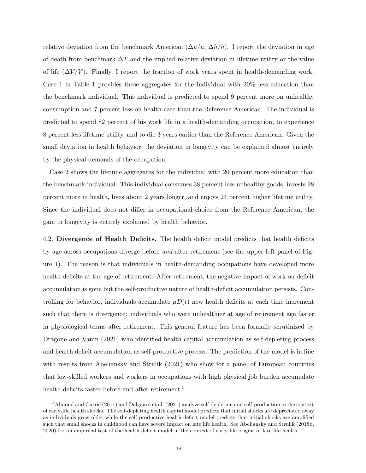relative deviation from the benchmark American  $(\Delta u/u, \Delta h/h)$ . I report the deviation in age of death from benchmark  $\Delta T$  and the implied relative deviation in lifetime utility or the value of life  $(\Delta V/V)$ . Finally, I report the fraction of work years spent in health-demanding work. Case 1 in Table 1 provides these aggregates for the individual with 20% less education than the benchmark individual. This individual is predicted to spend 9 percent more on unhealthy consumption and 7 percent less on health care than the Reference American. The individual is predicted to spend 82 percent of his work life in a health-demanding occupation, to experience 8 percent less lifetime utility, and to die 3 years earlier than the Reference American. Given the small deviation in health behavior, the deviation in longevity can be explained almost entirely by the physical demands of the occupation.

Case 2 shows the lifetime aggregates for the individual with 20 percent more education than the benchmark individual. This individual consumes 38 percent less unhealthy goods, invests 28 percent more in health, lives about 2 years longer, and enjoys 24 percent higher lifetime utility. Since the individual does not differ in occupational choice from the Reference American, the gain in longevity is entirely explained by health behavior.

4.2. Divergence of Health Deficits. The health deficit model predicts that health deficits by age across occupations diverge before and after retirement (see the upper left panel of Figure 1). The reason is that individuals in health-demanding occupations have developed more health deficits at the age of retirement. After retirement, the negative impact of work on deficit accumulation is gone but the self-productive nature of health-deficit accumulation persists. Controlling for behavior, individuals accumulate  $\mu D(t)$  new health deficits at each time increment such that there is divergence: individuals who were unhealthier at age of retirement age faster in physiological terms after retirement. This general feature has been formally scrutinized by Dragone and Vanin (2021) who identified health capital accumulation as self-depleting process and health deficit accumulation as self-productive process. The prediction of the model is in line with results from Abeliansky and Strulik (2021) who show for a panel of European countries that low-skilled workers and workers in occupations with high physical job burden accumulate health deficits faster before and after retirement.<sup>5</sup>

<sup>5</sup>Almond and Currie (2011) and Dalgaard et al. (2021) analyze self-depletion and self-production in the context of early-life health shocks. The self-depleting health capital model predicts that initial shocks are depreciated away as individuals grow older while the self-productive health deficit model predicts that initial shocks are amplified such that small shocks in childhood can have severe impact on late life health. See Abeliansky and Strulik (2018b, 2020) for an empirical test of the health deficit model in the context of early life origins of late life health.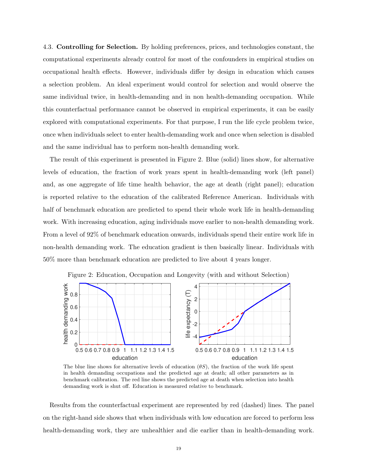4.3. Controlling for Selection. By holding preferences, prices, and technologies constant, the computational experiments already control for most of the confounders in empirical studies on occupational health effects. However, individuals differ by design in education which causes a selection problem. An ideal experiment would control for selection and would observe the same individual twice, in health-demanding and in non health-demanding occupation. While this counterfactual performance cannot be observed in empirical experiments, it can be easily explored with computational experiments. For that purpose, I run the life cycle problem twice, once when individuals select to enter health-demanding work and once when selection is disabled and the same individual has to perform non-health demanding work.

The result of this experiment is presented in Figure 2. Blue (solid) lines show, for alternative levels of education, the fraction of work years spent in health-demanding work (left panel) and, as one aggregate of life time health behavior, the age at death (right panel); education is reported relative to the education of the calibrated Reference American. Individuals with half of benchmark education are predicted to spend their whole work life in health-demanding work. With increasing education, aging individuals move earlier to non-health demanding work. From a level of 92% of benchmark education onwards, individuals spend their entire work life in non-health demanding work. The education gradient is then basically linear. Individuals with 50% more than benchmark education are predicted to live about 4 years longer.



The blue line shows for alternative levels of education  $(\theta S)$ , the fraction of the work life spent in health demanding occupations and the predicted age at death; all other parameters as in benchmark calibration. The red line shows the predicted age at death when selection into health demanding work is shut off. Education is measured relative to benchmark.

Results from the counterfactual experiment are represented by red (dashed) lines. The panel on the right-hand side shows that when individuals with low education are forced to perform less health-demanding work, they are unhealthier and die earlier than in health-demanding work.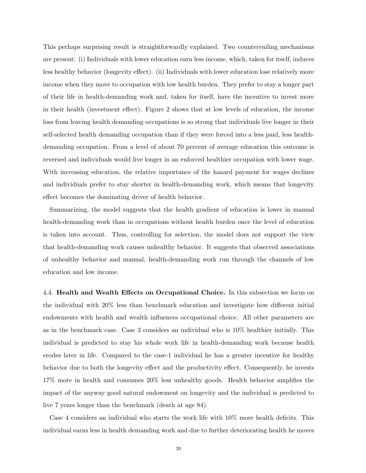This perhaps surprising result is straightforwardly explained. Two countervailing mechanisms are present: (i) Individuals with lower education earn less income, which, taken for itself, induces less healthy behavior (longevity effect). (ii) Individuals with lower education lose relatively more income when they move to occupation with low health burden. They prefer to stay a longer part of their life in health-demanding work and, taken for itself, have the incentive to invest more in their health (investment effect). Figure 2 shows that at low levels of education, the income loss from leaving health demanding occupations is so strong that individuals live longer in their self-selected health demanding occupation than if they were forced into a less paid, less healthdemanding occupation. From a level of about 70 percent of average education this outcome is reversed and individuals would live longer in an enforced healthier occupation with lower wage. With increasing education, the relative importance of the hazard payment for wages declines and individuals prefer to stay shorter in health-demanding work, which means that longevity effect becomes the dominating driver of health behavior.

Summarizing, the model suggests that the health gradient of education is lower in manual health-demanding work than in occupations without health burden once the level of education is taken into account. Thus, controlling for selection, the model does not support the view that health-demanding work causes unhealthy behavior. It suggests that observed associations of unhealthy behavior and manual, health-demanding work run through the channels of low education and low income.

4.4. Health and Wealth Effects on Occupational Choice. In this subsection we focus on the individual with 20% less than benchmark education and investigate how different initial endowments with health and wealth influences occupational choice. All other parameters are as in the benchmark case. Case 3 considers an individual who is 10% healthier initially. This individual is predicted to stay his whole work life in health-demanding work because health erodes later in life. Compared to the case-1 individual he has a greater incentive for healthy behavior due to both the longevity effect and the productivity effect. Consequently, he invests 17% more in health and consumes 20% less unhealthy goods. Health behavior amplifies the impact of the anyway good natural endowment on longevity and the individual is predicted to live 7 years longer than the benchmark (death at age 84).

Case 4 considers an individual who starts the work life with 10% more health deficits. This individual earns less in health demanding work and due to further deteriorating health he moves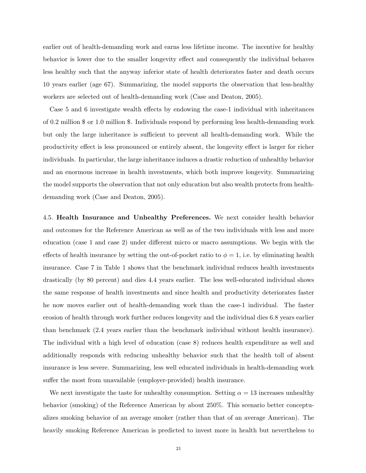earlier out of health-demanding work and earns less lifetime income. The incentive for healthy behavior is lower due to the smaller longevity effect and consequently the individual behaves less healthy such that the anyway inferior state of health deteriorates faster and death occurs 10 years earlier (age 67). Summarizing, the model supports the observation that less-healthy workers are selected out of health-demanding work (Case and Deaton, 2005).

Case 5 and 6 investigate wealth effects by endowing the case-1 individual with inheritances of 0.2 million \$ or 1.0 million \$. Individuals respond by performing less health-demanding work but only the large inheritance is sufficient to prevent all health-demanding work. While the productivity effect is less pronounced or entirely absent, the longevity effect is larger for richer individuals. In particular, the large inheritance induces a drastic reduction of unhealthy behavior and an enormous increase in health investments, which both improve longevity. Summarizing the model supports the observation that not only education but also wealth protects from healthdemanding work (Case and Deaton, 2005).

4.5. Health Insurance and Unhealthy Preferences. We next consider health behavior and outcomes for the Reference American as well as of the two individuals with less and more education (case 1 and case 2) under different micro or macro assumptions. We begin with the effects of health insurance by setting the out-of-pocket ratio to  $\phi = 1$ , i.e. by eliminating health insurance. Case 7 in Table 1 shows that the benchmark individual reduces health investments drastically (by 80 percent) and dies 4.4 years earlier. The less well-educated individual shows the same response of health investments and since health and productivity deteriorates faster he now moves earlier out of health-demanding work than the case-1 individual. The faster erosion of health through work further reduces longevity and the individual dies 6.8 years earlier than benchmark (2.4 years earlier than the benchmark individual without health insurance). The individual with a high level of education (case 8) reduces health expenditure as well and additionally responds with reducing unhealthy behavior such that the health toll of absent insurance is less severe. Summarizing, less well educated individuals in health-demanding work suffer the most from unavailable (employer-provided) health insurance.

We next investigate the taste for unhealthy consumption. Setting  $\alpha = 13$  increases unhealthy behavior (smoking) of the Reference American by about 250%. This scenario better conceptualizes smoking behavior of an average smoker (rather than that of an average American). The heavily smoking Reference American is predicted to invest more in health but nevertheless to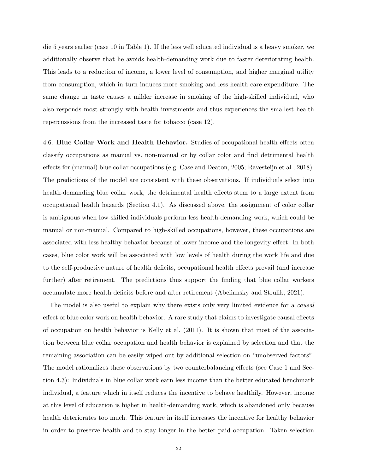die 5 years earlier (case 10 in Table 1). If the less well educated individual is a heavy smoker, we additionally observe that he avoids health-demanding work due to faster deteriorating health. This leads to a reduction of income, a lower level of consumption, and higher marginal utility from consumption, which in turn induces more smoking and less health care expenditure. The same change in taste causes a milder increase in smoking of the high-skilled individual, who also responds most strongly with health investments and thus experiences the smallest health repercussions from the increased taste for tobacco (case 12).

4.6. Blue Collar Work and Health Behavior. Studies of occupational health effects often classify occupations as manual vs. non-manual or by collar color and find detrimental health effects for (manual) blue collar occupations (e.g. Case and Deaton, 2005; Ravesteijn et al., 2018). The predictions of the model are consistent with these observations. If individuals select into health-demanding blue collar work, the detrimental health effects stem to a large extent from occupational health hazards (Section 4.1). As discussed above, the assignment of color collar is ambiguous when low-skilled individuals perform less health-demanding work, which could be manual or non-manual. Compared to high-skilled occupations, however, these occupations are associated with less healthy behavior because of lower income and the longevity effect. In both cases, blue color work will be associated with low levels of health during the work life and due to the self-productive nature of health deficits, occupational health effects prevail (and increase further) after retirement. The predictions thus support the finding that blue collar workers accumulate more health deficits before and after retirement (Abeliansky and Strulik, 2021).

The model is also useful to explain why there exists only very limited evidence for a *causal* effect of blue color work on health behavior. A rare study that claims to investigate causal effects of occupation on health behavior is Kelly et al. (2011). It is shown that most of the association between blue collar occupation and health behavior is explained by selection and that the remaining association can be easily wiped out by additional selection on "unobserved factors". The model rationalizes these observations by two counterbalancing effects (see Case 1 and Section 4.3): Individuals in blue collar work earn less income than the better educated benchmark individual, a feature which in itself reduces the incentive to behave healthily. However, income at this level of education is higher in health-demanding work, which is abandoned only because health deteriorates too much. This feature in itself increases the incentive for healthy behavior in order to preserve health and to stay longer in the better paid occupation. Taken selection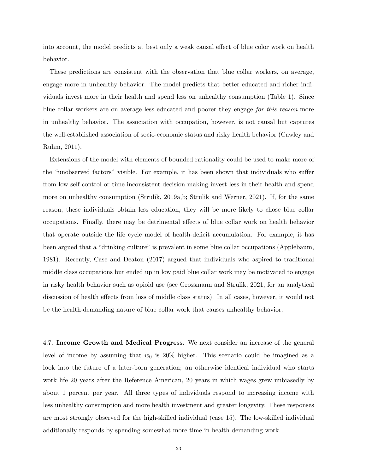into account, the model predicts at best only a weak causal effect of blue color work on health behavior.

These predictions are consistent with the observation that blue collar workers, on average, engage more in unhealthy behavior. The model predicts that better educated and richer individuals invest more in their health and spend less on unhealthy consumption (Table 1). Since blue collar workers are on average less educated and poorer they engage for this reason more in unhealthy behavior. The association with occupation, however, is not causal but captures the well-established association of socio-economic status and risky health behavior (Cawley and Ruhm, 2011).

Extensions of the model with elements of bounded rationality could be used to make more of the "unobserved factors" visible. For example, it has been shown that individuals who suffer from low self-control or time-inconsistent decision making invest less in their health and spend more on unhealthy consumption (Strulik, 2019a,b; Strulik and Werner, 2021). If, for the same reason, these individuals obtain less education, they will be more likely to chose blue collar occupations. Finally, there may be detrimental effects of blue collar work on health behavior that operate outside the life cycle model of health-deficit accumulation. For example, it has been argued that a "drinking culture" is prevalent in some blue collar occupations (Applebaum, 1981). Recently, Case and Deaton (2017) argued that individuals who aspired to traditional middle class occupations but ended up in low paid blue collar work may be motivated to engage in risky health behavior such as opioid use (see Grossmann and Strulik, 2021, for an analytical discussion of health effects from loss of middle class status). In all cases, however, it would not be the health-demanding nature of blue collar work that causes unhealthy behavior.

4.7. Income Growth and Medical Progress. We next consider an increase of the general level of income by assuming that  $w_0$  is 20% higher. This scenario could be imagined as a look into the future of a later-born generation; an otherwise identical individual who starts work life 20 years after the Reference American, 20 years in which wages grew unbiasedly by about 1 percent per year. All three types of individuals respond to increasing income with less unhealthy consumption and more health investment and greater longevity. These responses are most strongly observed for the high-skilled individual (case 15). The low-skilled individual additionally responds by spending somewhat more time in health-demanding work.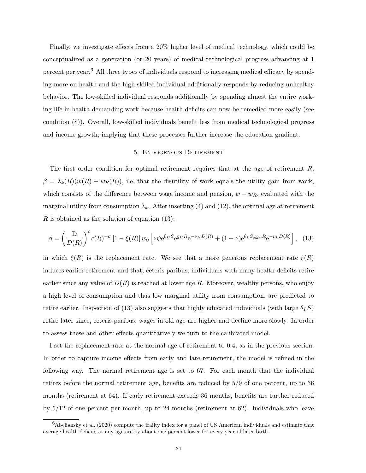Finally, we investigate effects from a 20% higher level of medical technology, which could be conceptualized as a generation (or 20 years) of medical technological progress advancing at 1 percent per year.<sup>6</sup> All three types of individuals respond to increasing medical efficacy by spending more on health and the high-skilled individual additionally responds by reducing unhealthy behavior. The low-skilled individual responds additionally by spending almost the entire working life in health-demanding work because health deficits can now be remedied more easily (see condition (8)). Overall, low-skilled individuals benefit less from medical technological progress and income growth, implying that these processes further increase the education gradient.

### 5. Endogenous Retirement

The first order condition for optimal retirement requires that at the age of retirement  $R$ ,  $\beta = \lambda_k(R)(w(R) - w_R(R))$ , i.e. that the disutility of work equals the utility gain from work, which consists of the difference between wage income and pension,  $w - w_R$ , evaluated with the marginal utility from consumption  $\lambda_k$ . After inserting (4) and (12), the optimal age at retirement R is obtained as the solution of equation (13):

$$
\beta = \left(\frac{D}{D(R)}\right)^{\epsilon} c(R)^{-\sigma} \left[1 - \xi(R)\right] w_0 \left[z\psi e^{\theta_H S} e^{g_H R} e^{-\nu_H D(R)} + (1 - z) e^{\theta_L S} e^{g_L R} e^{-\nu_L D(R)}\right], \tag{13}
$$

in which  $\xi(R)$  is the replacement rate. We see that a more generous replacement rate  $\xi(R)$ induces earlier retirement and that, ceteris paribus, individuals with many health deficits retire earlier since any value of  $D(R)$  is reached at lower age R. Moreover, wealthy persons, who enjoy a high level of consumption and thus low marginal utility from consumption, are predicted to retire earlier. Inspection of (13) also suggests that highly educated individuals (with large  $\theta_L S$ ) retire later since, ceteris paribus, wages in old age are higher and decline more slowly. In order to assess these and other effects quantitatively we turn to the calibrated model.

I set the replacement rate at the normal age of retirement to 0.4, as in the previous section. In order to capture income effects from early and late retirement, the model is refined in the following way. The normal retirement age is set to 67. For each month that the individual retires before the normal retirement age, benefits are reduced by 5/9 of one percent, up to 36 months (retirement at 64). If early retirement exceeds 36 months, benefits are further reduced by  $5/12$  of one percent per month, up to 24 months (retirement at 62). Individuals who leave

 $6A$ beliansky et al. (2020) compute the frailty index for a panel of US American individuals and estimate that average health deficits at any age are by about one percent lower for every year of later birth.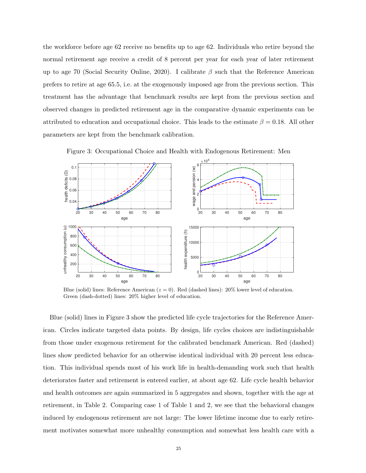the workforce before age 62 receive no benefits up to age 62. Individuals who retire beyond the normal retirement age receive a credit of 8 percent per year for each year of later retirement up to age 70 (Social Security Online, 2020). I calibrate  $\beta$  such that the Reference American prefers to retire at age 65.5, i.e. at the exogenously imposed age from the previous section. This treatment has the advantage that benchmark results are kept from the previous section and observed changes in predicted retirement age in the comparative dynamic experiments can be attributed to education and occupational choice. This leads to the estimate  $\beta = 0.18$ . All other parameters are kept from the benchmark calibration.



Figure 3: Occupational Choice and Health with Endogenous Retirement: Men

Blue (solid) lines: Reference American ( $z = 0$ ). Red (dashed lines): 20% lower level of education. Green (dash-dotted) lines: 20% higher level of education.

Blue (solid) lines in Figure 3 show the predicted life cycle trajectories for the Reference American. Circles indicate targeted data points. By design, life cycles choices are indistinguishable from those under exogenous retirement for the calibrated benchmark American. Red (dashed) lines show predicted behavior for an otherwise identical individual with 20 percent less education. This individual spends most of his work life in health-demanding work such that health deteriorates faster and retirement is entered earlier, at about age 62. Life cycle health behavior and health outcomes are again summarized in 5 aggregates and shown, together with the age at retirement, in Table 2. Comparing case 1 of Table 1 and 2, we see that the behavioral changes induced by endogenous retirement are not large: The lower lifetime income due to early retirement motivates somewhat more unhealthy consumption and somewhat less health care with a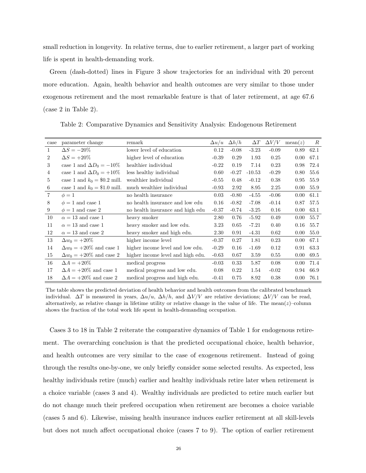small reduction in longevity. In relative terms, due to earlier retirement, a larger part of working life is spent in health-demanding work.

Green (dash-dotted) lines in Figure 3 show trajectories for an individual with 20 percent more education. Again, health behavior and health outcomes are very similar to those under exogenous retirement and the most remarkable feature is that of later retirement, at age 67.6 (case 2 in Table 2).

| case           | parameter change                | remark                            | $\Delta u/u$ | $\Delta h/h$ | $\Delta T$ | $\Delta V/V$ | mean(z) | $\boldsymbol{R}$ |
|----------------|---------------------------------|-----------------------------------|--------------|--------------|------------|--------------|---------|------------------|
| 1              | $\Delta S = -20\%$              | lower level of education          | 0.12         | $-0.08$      | $-3.23$    | $-0.09$      | 0.89    | 62.1             |
| $\overline{2}$ | $\Delta S = +20\%$              | higher level of education         | $-0.39$      | 0.29         | 1.93       | 0.25         | 0.00    | 67.1             |
| 3              | case 1 and $\Delta D_0 = -10\%$ | healthier individual              | $-0.22$      | 0.19         | 7.14       | 0.23         | 0.98    | 72.4             |
| 4              | case 1 and $\Delta D_0 = +10\%$ | less healthy individual           | 0.60         | $-0.27$      | $-10.53$   | $-0.29$      | 0.80    | 55.6             |
| 5              | case 1 and $k_0 = $0.2$ mill.   | wealthier individual              | $-0.55$      | 0.48         | $-0.12$    | 0.38         | 0.95    | 55.9             |
| 6              | case 1 and $k_0 = $1.0$ mill.   | much wealthier individual         | $-0.93$      | 2.92         | 8.95       | 2.25         | 0.00    | 55.9             |
| $\overline{7}$ | $\phi=1$                        | no health insurance               | 0.03         | $-0.80$      | $-4.55$    | $-0.06$      | 0.00    | 61.1             |
| 8              | $\phi = 1$ and case 1           | no health insurance and low edu   | 0.16         | $-0.82$      | $-7.08$    | $-0.14$      | 0.87    | 57.5             |
| 9              | $\phi = 1$ and case 2           | no health insurance and high edu  | $-0.37$      | $-0.74$      | $-3.25$    | 0.16         | 0.00    | 63.1             |
| 10             | $\alpha = 13$ and case 1        | heavy smoker                      | 2.80         | 0.76         | $-5.92$    | 0.49         | 0.00    | 55.7             |
| 11             | $\alpha = 13$ and case 1        | heavy smoker and low edu.         | 3.23         | 0.65         | $-7.21$    | 0.40         | 0.16    | 55.7             |
| 12             | $\alpha = 13$ and case 2        | heavy smoker and high edu.        | 2.30         | 0.91         | $-4.31$    | 0.62         | 0.00    | 55.0             |
| 13             | $\Delta w_0 = +20\%$            | higher income level               | $-0.37$      | 0.27         | 1.81       | 0.23         | 0.00    | 67.1             |
| 14             | $\Delta w_0 = +20\%$ and case 1 | higher income level and low edu.  | $-0.29$      | 0.16         | $-1.69$    | 0.12         | 0.91    | 63.3             |
| 15             | $\Delta w_0 = +20\%$ and case 2 | higher income level and high edu. | $-0.63$      | 0.67         | 3.59       | 0.55         | 0.00    | 69.5             |
| 16             | $\Delta A = +20\%$              | medical progress                  | $-0.03$      | 0.33         | 5.87       | 0.08         | 0.00    | 71.4             |
| 17             | $\Delta A = +20\%$ and case 1   | medical progress and low edu.     | 0.08         | 0.22         | 1.54       | $-0.02$      | 0.94    | 66.9             |
| 18             | $\Delta A = +20\%$ and case 2   | medical progress and high edu.    | $-0.41$      | 0.75         | 8.92       | 0.38         | 0.00    | 76.1             |

Table 2: Comparative Dynamics and Sensitivity Analysis: Endogenous Retirement

The table shows the predicted deviation of health behavior and health outcomes from the calibrated benchmark individual.  $\Delta T$  is measured in years,  $\Delta u/u$ ,  $\Delta h/h$ , and  $\Delta V/V$  are relative deviations;  $\Delta V/V$  can be read, alternatively, as relative change in lifetime utility or relative change in the value of life. The mean $(z)$ –column shows the fraction of the total work life spent in health-demanding occupation.

Cases 3 to 18 in Table 2 reiterate the comparative dynamics of Table 1 for endogenous retirement. The overarching conclusion is that the predicted occupational choice, health behavior, and health outcomes are very similar to the case of exogenous retirement. Instead of going through the results one-by-one, we only briefly consider some selected results. As expected, less healthy individuals retire (much) earlier and healthy individuals retire later when retirement is a choice variable (cases 3 and 4). Wealthy individuals are predicted to retire much earlier but do not change much their prefered occupation when retirement are becomes a choice variable (cases 5 and 6). Likewise, missing health insurance induces earlier retirement at all skill-levels but does not much affect occupational choice (cases 7 to 9). The option of earlier retirement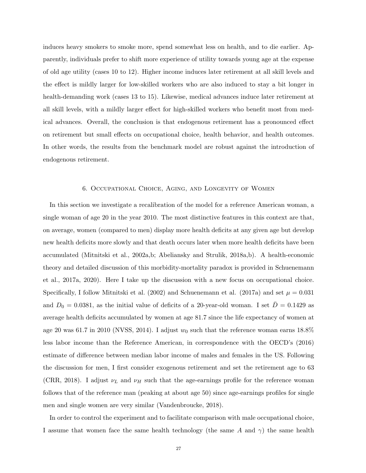induces heavy smokers to smoke more, spend somewhat less on health, and to die earlier. Apparently, individuals prefer to shift more experience of utility towards young age at the expense of old age utility (cases 10 to 12). Higher income induces later retirement at all skill levels and the effect is mildly larger for low-skilled workers who are also induced to stay a bit longer in health-demanding work (cases 13 to 15). Likewise, medical advances induce later retirement at all skill levels, with a mildly larger effect for high-skilled workers who benefit most from medical advances. Overall, the conclusion is that endogenous retirement has a pronounced effect on retirement but small effects on occupational choice, health behavior, and health outcomes. In other words, the results from the benchmark model are robust against the introduction of endogenous retirement.

## 6. Occupational Choice, Aging, and Longevity of Women

In this section we investigate a recalibration of the model for a reference American woman, a single woman of age 20 in the year 2010. The most distinctive features in this context are that, on average, women (compared to men) display more health deficits at any given age but develop new health deficits more slowly and that death occurs later when more health deficits have been accumulated (Mitnitski et al., 2002a,b; Abeliansky and Strulik, 2018a,b). A health-economic theory and detailed discussion of this morbidity-mortality paradox is provided in Schuenemann et al., 2017a, 2020). Here I take up the discussion with a new focus on occupational choice. Specifically, I follow Mitnitski et al. (2002) and Schuenemann et al. (2017a) and set  $\mu = 0.031$ and  $D_0 = 0.0381$ , as the initial value of deficits of a 20-year-old woman. I set  $\overline{D} = 0.1429$  as average health deficits accumulated by women at age 81.7 since the life expectancy of women at age 20 was 61.7 in 2010 (NVSS, 2014). I adjust  $w_0$  such that the reference woman earns 18.8% less labor income than the Reference American, in correspondence with the OECD's (2016) estimate of difference between median labor income of males and females in the US. Following the discussion for men, I first consider exogenous retirement and set the retirement age to 63 (CRR, 2018). I adjust  $\nu_L$  and  $\nu_H$  such that the age-earnings profile for the reference woman follows that of the reference man (peaking at about age 50) since age-earnings profiles for single men and single women are very similar (Vandenbroucke, 2018).

In order to control the experiment and to facilitate comparison with male occupational choice, I assume that women face the same health technology (the same A and  $\gamma$ ) the same health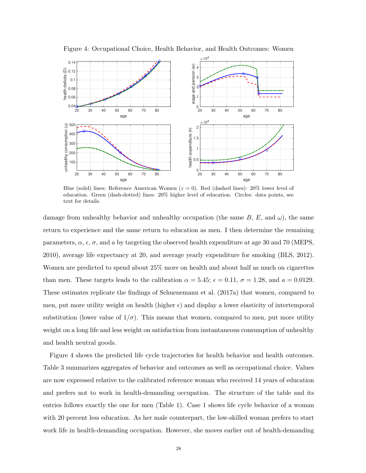

Figure 4: Occupational Choice, Health Behavior, and Health Outcomes: Women

Blue (solid) lines: Reference American Women  $(z = 0)$ . Red (dashed lines): 20% lower level of education. Green (dash-dotted) lines: 20% higher level of education. Circles: data points, see text for details.

damage from unhealthy behavior and unhealthy occupation (the same B, E, and  $\omega$ ), the same return to experience and the same return to education as men. I then determine the remaining parameters,  $\alpha$ ,  $\epsilon$ ,  $\sigma$ , and a by targeting the observed health expenditure at age 30 and 70 (MEPS, 2010), average life expectancy at 20, and average yearly expenditure for smoking (BLS, 2012). Women are predicted to spend about 25% more on health and about half as much on cigarettes than men. These targets leads to the calibration  $\alpha = 5.45$ ;  $\epsilon = 0.11$ ,  $\sigma = 1.28$ , and  $a = 0.0129$ . These estimates replicate the findings of Schuenemann et al. (2017a) that women, compared to men, put more utility weight on health (higher  $\epsilon$ ) and display a lower elasticity of intertemporal substitution (lower value of  $1/\sigma$ ). This means that women, compared to men, put more utility weight on a long life and less weight on satisfaction from instantaneous consumption of unhealthy and health neutral goods.

Figure 4 shows the predicted life cycle trajectories for health behavior and health outcomes. Table 3 summarizes aggregates of behavior and outcomes as well as occupational choice. Values are now expressed relative to the calibrated reference woman who received 14 years of education and prefers not to work in health-demanding occupation. The structure of the table and its entries follows exactly the one for men (Table 1). Case 1 shows life cycle behavior of a woman with 20 percent less education. As her male counterpart, the low-skilled woman prefers to start work life in health-demanding occupation. However, she moves earlier out of health-demanding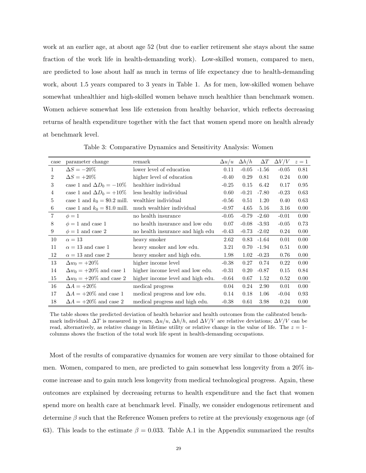work at an earlier age, at about age 52 (but due to earlier retirement she stays about the same fraction of the work life in health-demanding work). Low-skilled women, compared to men, are predicted to lose about half as much in terms of life expectancy due to health-demanding work, about 1.5 years compared to 3 years in Table 1. As for men, low-skilled women behave somewhat unhealthier and high-skilled women behave much healthier than benchmark women. Women achieve somewhat less life extension from healthy behavior, which reflects decreasing returns of health expenditure together with the fact that women spend more on health already at benchmark level.

| case           | parameter change                | remark                            | $\Delta u/u$ | $\Delta h/h$ | $\Delta T$      | $\Delta V/V$ | $z=1$ |
|----------------|---------------------------------|-----------------------------------|--------------|--------------|-----------------|--------------|-------|
| $\mathbf{1}$   | $\Delta S = -20\%$              | lower level of education          | 0.11         | $-0.05$      | $-1.56$         | $-0.05$      | 0.81  |
| $\overline{2}$ | $\Delta S = +20\%$              | higher level of education         | $-0.40$      | 0.29         | 0.81            | 0.24         | 0.00  |
| 3              | case 1 and $\Delta D_0 = -10\%$ | healthier individual              | $-0.25$      | 0.15         | 6.42            | 0.17         | 0.95  |
| 4              | case 1 and $\Delta D_0 = +10\%$ | less healthy individual           | 0.60         | $-0.21$      | $-7.80$         | $-0.23$      | 0.63  |
| 5              | case 1 and $k_0 = $0.2$ mill.   | wealthier individual              | $-0.56$      | 0.51         | 1.20            | 0.40         | 0.63  |
| 6              | case 1 and $k_0 = $1.0$ mill.   | much wealthier individual         | $-0.97$      | 4.65         | 5.16            | 3.16         | 0.00  |
| 7              | $\phi=1$                        | no health insurance               | $-0.05$      | $-0.79$      | $-2.60$         | $-0.01$      | 0.00  |
| 8              | $\phi = 1$ and case 1           | no health insurance and low edu   | 0.07         |              | $-0.08$ $-3.93$ | $-0.05$      | 0.73  |
| 9              | $\phi = 1$ and case 2           | no health insurance and high edu  | $-0.43$      |              | $-0.73 - 2.02$  | 0.24         | 0.00  |
| 10             | $\alpha = 13$                   | heavy smoker                      | 2.62         |              | $0.83 - 1.64$   | 0.01         | 0.00  |
| 11             | $\alpha = 13$ and case 1        | heavy smoker and low edu.         | 3.21         |              | $0.70 -1.94$    | 0.51         | 0.00  |
| 12             | $\alpha = 13$ and case 2        | heavy smoker and high edu.        | 1.98         | 1.02         | $-0.23$         | 0.76         | 0.00  |
| 13             | $\Delta w_0 = +20\%$            | higher income level               | $-0.38$      | 0.27         | 0.74            | 0.22         | 0.00  |
| 14             | $\Delta w_0 = +20\%$ and case 1 | higher income level and low edu.  | $-0.31$      | 0.20         | $-0.87$         | 0.15         | 0.84  |
| 15             | $\Delta w_0 = +20\%$ and case 2 | higher income level and high edu. | $-0.64$      | 0.67         | 1.52            | 0.52         | 0.00  |
| 16             | $\Delta A = +20\%$              | medical progress                  | 0.04         | 0.24         | 2.90            | 0.01         | 0.00  |
| 17             | $\Delta A = +20\%$ and case 1   | medical progress and low edu.     | 0.14         | 0.18         | 1.06            | $-0.04$      | 0.93  |
| 18             | $\Delta A = +20\%$ and case 2   | medical progress and high edu.    | $-0.38$      | 0.61         | 3.98            | 0.24         | 0.00  |

Table 3: Comparative Dynamics and Sensitivity Analysis: Women

The table shows the predicted deviation of health behavior and health outcomes from the calibrated benchmark individual.  $\Delta T$  is measured in years,  $\Delta u/u$ ,  $\Delta h/h$ , and  $\Delta V/V$  are relative deviations;  $\Delta V/V$  can be read, alternatively, as relative change in lifetime utility or relative change in the value of life. The  $z = 1$ – columns shows the fraction of the total work life spent in health-demanding occupations.

Most of the results of comparative dynamics for women are very similar to those obtained for men. Women, compared to men, are predicted to gain somewhat less longevity from a 20% income increase and to gain much less longevity from medical technological progress. Again, these outcomes are explained by decreasing returns to health expenditure and the fact that women spend more on health care at benchmark level. Finally, we consider endogenous retirement and determine  $\beta$  such that the Reference Women prefers to retire at the previously exogenous age (of 63). This leads to the estimate  $\beta = 0.033$ . Table A.1 in the Appendix summarized the results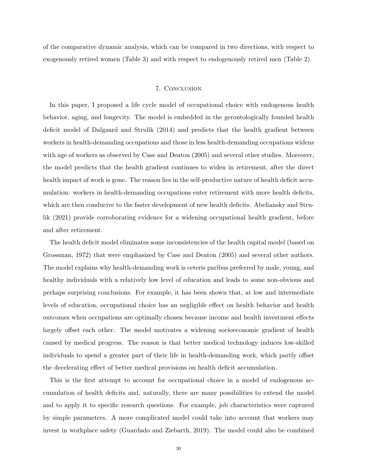of the comparative dynamic analysis, which can be compared in two directions, with respect to exogenously retired women (Table 3) and with respect to endogenously retired men (Table 2).

## 7. Conclusion

In this paper, I proposed a life cycle model of occupational choice with endogenous health behavior, aging, and longevity. The model is embedded in the gerontologically founded health deficit model of Dalgaard and Strulik (2014) and predicts that the health gradient between workers in health-demanding occupations and those in less health-demanding occupations widens with age of workers as observed by Case and Deaton (2005) and several other studies. Moreover, the model predicts that the health gradient continues to widen in retirement, after the direct health impact of work is gone. The reason lies in the self-productive nature of health deficit accumulation: workers in health-demanding occupations enter retirement with more health deficits, which are then conducive to the faster development of new health deficits. Abeliansky and Strulik (2021) provide corroborating evidence for a widening occupational health gradient, before and after retirement.

The health deficit model eliminates some inconsistencies of the health capital model (based on Grossman, 1972) that were emphasized by Case and Deaton (2005) and several other authors. The model explains why health-demanding work is ceteris paribus preferred by male, young, and healthy individuals with a relatively low level of education and leads to some non-obvious and perhaps surprising conclusions. For example, it has been shown that, at low and intermediate levels of education, occupational choice has an negligible effect on health behavior and health outcomes when occupations are optimally chosen because income and health investment effects largely offset each other. The model motivates a widening socioeconomic gradient of health caused by medical progress. The reason is that better medical technology induces low-skilled individuals to spend a greater part of their life in health-demanding work, which partly offset the decelerating effect of better medical provisions on health deficit accumulation.

This is the first attempt to account for occupational choice in a model of endogenous accumulation of health deficits and, naturally, there are many possibilities to extend the model and to apply it to specific research questions. For example, job characteristics were captured by simple parameters. A more complicated model could take into account that workers may invest in workplace safety (Guardado and Ziebarth, 2019). The model could also be combined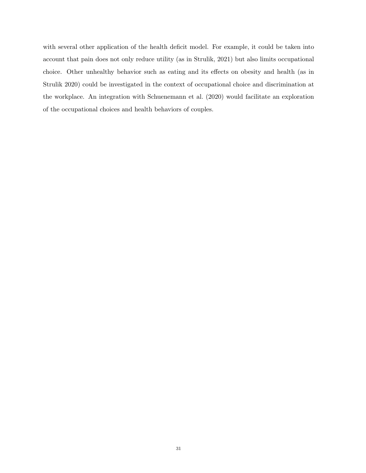with several other application of the health deficit model. For example, it could be taken into account that pain does not only reduce utility (as in Strulik, 2021) but also limits occupational choice. Other unhealthy behavior such as eating and its effects on obesity and health (as in Strulik 2020) could be investigated in the context of occupational choice and discrimination at the workplace. An integration with Schuenemann et al. (2020) would facilitate an exploration of the occupational choices and health behaviors of couples.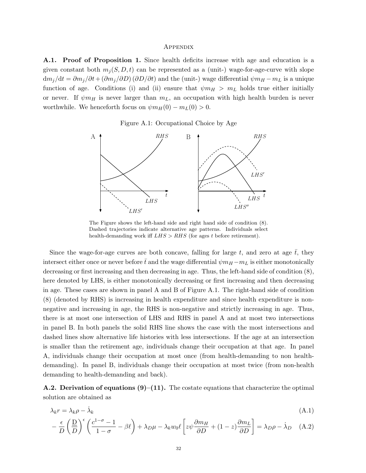#### **APPENDIX**

A.1. Proof of Proposition 1. Since health deficits increase with age and education is a given constant both  $m_i(S, D, t)$  can be represented as a (unit-) wage-for-age-curve with slope  $dm_j/dt = \partial m_j/\partial t + (\partial m_j/\partial D)(\partial D/\partial t)$  and the (unit-) wage differential  $\psi m_H - m_L$  is a unique function of age. Conditions (i) and (ii) ensure that  $\psi m_H > m_L$  holds true either initially or never. If  $\psi m_H$  is never larger than  $m_L$ , an occupation with high health burden is never worthwhile. We henceforth focus on  $\psi m_H(0) - m_L(0) > 0$ .





The Figure shows the left-hand side and right hand side of condition (8). Dashed trajectories indicate alternative age patterns. Individuals select health-demanding work iff  $LHS > RHS$  (for ages t before retirement).

Since the wage-for-age curves are both concave, falling for large  $t$ , and zero at age  $t$ , they intersect either once or never before  $\bar{t}$  and the wage differential  $\psi m_H - m_L$  is either monotonically decreasing or first increasing and then decreasing in age. Thus, the left-hand side of condition (8), here denoted by LHS, is either monotonically decreasing or first increasing and then decreasing in age. These cases are shown in panel A and B of Figure A.1. The right-hand side of condition (8) (denoted by RHS) is increasing in health expenditure and since health expenditure is nonnegative and increasing in age, the RHS is non-negative and strictly increasing in age. Thus, there is at most one intersection of LHS and RHS in panel A and at most two intersections in panel B. In both panels the solid RHS line shows the case with the most intersections and dashed lines show alternative life histories with less intersections. If the age at an intersection is smaller than the retirement age, individuals change their occupation at that age. In panel A, individuals change their occupation at most once (from health-demanding to non healthdemanding). In panel B, individuals change their occupation at most twice (from non-health demanding to health-demanding and back).

**A.2. Derivation of equations (9)–(11).** The costate equations that characterize the optimal solution are obtained as

$$
\lambda_k r = \lambda_k \rho - \dot{\lambda}_k \tag{A.1}
$$

$$
-\frac{\epsilon}{D} \left( \frac{D}{D} \right)^{\epsilon} \left( \frac{c^{1-\sigma} - 1}{1 - \sigma} - \beta \ell \right) + \lambda_D \mu - \lambda_k w_0 \ell \left[ z \psi \frac{\partial m_H}{\partial D} + (1 - z) \frac{\partial m_L}{\partial D} \right] = \lambda_D \rho - \dot{\lambda}_D \quad (A.2)
$$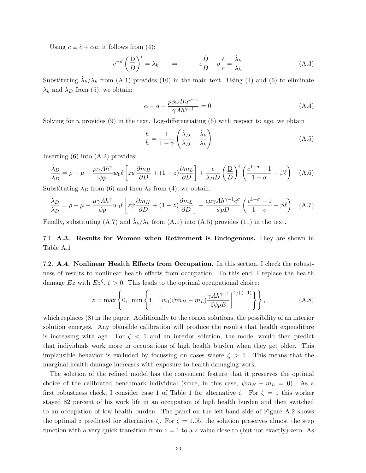Using  $c \equiv \tilde{c} + \alpha u$ , it follows from (4):

$$
c^{-\sigma} \left(\frac{D}{D}\right)^{\epsilon} = \lambda_k \qquad \Rightarrow \qquad -\epsilon \frac{\dot{D}}{D} - \sigma \frac{\dot{c}}{c} = \frac{\dot{\lambda}_k}{\lambda_k}.
$$
 (A.3)

Substituting  $\dot{\lambda}_k/\lambda_k$  from (A.1) provides (10) in the main text. Using (4) and (6) to eliminate  $\lambda_k$  and  $\lambda_D$  from (5), we obtain:

$$
\alpha - q - \frac{p\phi\omega B u^{\omega - 1}}{\gamma Ah^{\gamma - 1}} = 0.
$$
\n(A.4)

Solving for u provides  $(9)$  in the text. Log-differentiating  $(6)$  with respect to age, we obtain

$$
\frac{\dot{h}}{h} = \frac{1}{1 - \gamma} \left( \frac{\dot{\lambda}_D}{\lambda_D} - \frac{\dot{\lambda}_k}{\lambda_k} \right)
$$
(A.5)

Inserting (6) into (A.2) provides:

$$
\frac{\dot{\lambda}_D}{\lambda_D} = \rho - \mu - \frac{\mu \gamma A h^{\gamma}}{\phi p} w_0 \ell \left[ z \psi \frac{\partial m_H}{\partial D} + (1 - z) \frac{\partial m_L}{\partial D} \right] + \frac{\epsilon}{\lambda_D D} \left( \frac{\underline{D}}{D} \right)^{\epsilon} \left( \frac{c^{1 - \sigma} - 1}{1 - \sigma} - \beta \ell \right) \quad (A.6)
$$

Substituting  $\lambda_D$  from (6) and then  $\lambda_k$  from (4), we obtain:

$$
\frac{\dot{\lambda}_D}{\lambda_D} = \rho - \mu - \frac{\mu \gamma A h^{\gamma}}{\phi p} w_0 \ell \left[ z \psi \frac{\partial m_H}{\partial D} + (1 - z) \frac{\partial m_L}{\partial D} \right] - \frac{\epsilon \mu \gamma A h^{\gamma - 1} c^{\sigma}}{\phi p D} \left( \frac{c^{1 - \sigma} - 1}{1 - \sigma} - \beta \ell \right) \tag{A.7}
$$

Finally, substituting (A.7) and  $\dot{\lambda}_k/\lambda_k$  from (A.1) into (A.5) provides (11) in the text.

7.1. A.3. Results for Women when Retirement is Endogenous. They are shown in Table A.1

7.2. A.4. Nonlinear Health Effects from Occupation. In this section, I check the robustness of results to nonlinear health effects from occupation. To this end, I replace the health damage Ez with  $Ez^{\zeta}$ ,  $\zeta > 0$ . This leads to the optimal occupational choice:

$$
z = \max\left\{0, \ \min\left\{1, \ \left[w_0(\psi m_H - m_L) \frac{\gamma A h^{\gamma - 1}}{\zeta \phi p E}\right]^{1/(\zeta - 1)}\right\}\right\},\tag{A.8}
$$

which replaces (8) in the paper. Additionally to the corner solutions, the possibility of an interior solution emerges. Any plausible calibration will produce the results that health expenditure is increasing with age. For  $\zeta$  < 1 and an interior solution, the model would then predict that individuals work more in occupations of high health burden when they get older. This implausible behavior is excluded by focussing on cases where  $\zeta > 1$ . This means that the marginal health damage increases with exposure to health damaging work.

The solution of the refined model has the convenient feature that it preserves the optimal choice of the calibrated benchmark individual (since, in this case,  $\psi m_H - m_L = 0$ ). As a first robustness check, I consider case 1 of Table 1 for alternative  $\zeta$ . For  $\zeta = 1$  this worker stayed 82 percent of his work life in an occupation of high health burden and then switched to an occupation of low health burden. The panel on the left-hand side of Figure A.2 shows the optimal z predicted for alternative  $\zeta$ . For  $\zeta = 1.05$ , the solution preserves almost the step function with a very quick transition from  $z = 1$  to a z-value close to (but not exactly) zero. As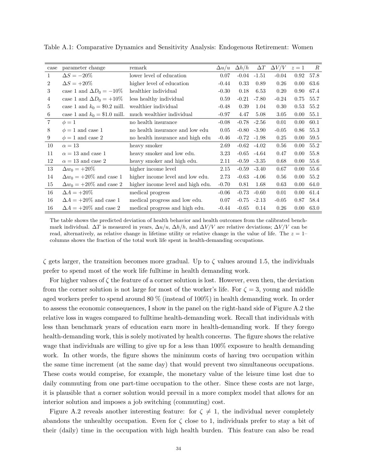| case           | parameter change                | remark                            | $\Delta u/u$ | $\Delta h/h$ | $\Delta T$      | $\Delta V/V$ | $z=1$    | $\boldsymbol{R}$ |
|----------------|---------------------------------|-----------------------------------|--------------|--------------|-----------------|--------------|----------|------------------|
| 1              | $\Delta S = -20\%$              | lower level of education          | 0.07         | $-0.04$      | $-1.51$         | $-0.04$      | 0.92     | 57.8             |
| 2              | $\Delta S = +20\%$              | higher level of education         | $-0.44$      | 0.33         | 0.89            | 0.26         | 0.00     | 63.6             |
| 3              | case 1 and $\Delta D_0 = -10\%$ | healthier individual              | $-0.30$      | 0.18         | 6.53            | 0.20         | 0.90     | 67.4             |
| 4              | case 1 and $\Delta D_0 = +10\%$ | less healthy individual           | 0.59         | $-0.21$      | $-7.80$         | $-0.24$      | 0.75     | 55.7             |
| 5              | case 1 and $k_0 = $0.2$ mill.   | wealthier individual              | $-0.48$      | 0.39         | 1.04            | 0.30         | 0.53     | 55.2             |
| 6              | case 1 and $k_0 = $1.0$ mill.   | much wealthier individual         | $-0.97$      | 4.47         | 5.08            | 3.05         | 0.00     | 55.1             |
| $\overline{7}$ | $\phi=1$                        | no health insurance               | $-0.08$      |              | $-0.78$ $-2.56$ | 0.01         | 0.00     | 60.1             |
| 8              | $\phi = 1$ and case 1           | no health insurance and low edu   | 0.05         |              | $-0.80 -3.90$   | $-0.05$      | 0.86     | 55.3             |
| 9              | $\phi = 1$ and case 2           | no health insurance and high edu  | $-0.46$      |              | $-0.72 -1.98$   | 0.25         | 0.00     | 59.5             |
| 10             | $\alpha = 13$                   | heavy smoker                      | 2.69         | $-0.62$      | $-4.02$         | 0.56         | $0.00\,$ | 55.2             |
| 11             | $\alpha = 13$ and case 1        | heavy smoker and low edu.         | 3.23         | $-0.65$      | $-4.64$         | 0.47         | 0.00     | 55.8             |
| 12             | $\alpha = 13$ and case 2        | heavy smoker and high edu.        | 2.11         |              | $-0.59 - 3.35$  | 0.68         | $0.00\,$ | 55.6             |
| 13             | $\Delta w_0 = +20\%$            | higher income level               | 2.15         |              | $-0.59 - 3.40$  | 0.67         | $0.00\,$ | 55.6             |
| 14             | $\Delta w_0 = +20\%$ and case 1 | higher income level and low edu.  | 2.73         | $-0.63$      | $-4.06$         | 0.56         | $0.00\,$ | 55.2             |
| 15             | $\Delta w_0 = +20\%$ and case 2 | higher income level and high edu. | $-0.70$      | 0.81         | 1.68            | 0.63         | 0.00     | 64.0             |
| 16             | $\Delta A = +20\%$              | medical progress                  | $-0.06$      | $-0.73$      | $-0.60$         | 0.01         | 0.00     | 61.4             |
| 16             | $\Delta A = +20\%$ and case 1   | medical progress and low edu.     | 0.07         | $-0.75$      | $-2.13$         | $-0.05$      | 0.87     | 58.4             |
| 16             | $\Delta A = +20\%$ and case 2   | medical progress and high edu.    | $-0.44$      | $-0.65$      | 0.14            | 0.26         | 0.00     | 63.0             |

Table A.1: Comparative Dynamics and Sensitivity Analysis: Endogenous Retirement: Women

The table shows the predicted deviation of health behavior and health outcomes from the calibrated benchmark individual.  $\Delta T$  is measured in years,  $\Delta u/u$ ,  $\Delta h/h$ , and  $\Delta V/V$  are relative deviations;  $\Delta V/V$  can be read, alternatively, as relative change in lifetime utility or relative change in the value of life. The  $z = 1$ columns shows the fraction of the total work life spent in health-demanding occupations.

 $\zeta$  gets larger, the transition becomes more gradual. Up to  $\zeta$  values around 1.5, the individuals prefer to spend most of the work life fulltime in health demanding work.

For higher values of  $\zeta$  the feature of a corner solution is lost. However, even then, the deviation from the corner solution is not large for most of the worker's life. For  $\zeta = 3$ , young and middle aged workers prefer to spend around 80 % (instead of 100%) in health demanding work. In order to assess the economic consequences, I show in the panel on the right-hand side of Figure A.2 the relative loss in wages compared to fulltime health-demanding work. Recall that individuals with less than benchmark years of education earn more in health-demanding work. If they forego health-demanding work, this is solely motivated by health concerns. The figure shows the relative wage that individuals are willing to give up for a less than 100% exposure to health demanding work. In other words, the figure shows the minimum costs of having two occupation within the same time increment (at the same day) that would prevent two simultaneous occupations. These costs would comprise, for example, the monetary value of the leisure time lost due to daily commuting from one part-time occupation to the other. Since these costs are not large, it is plausible that a corner solution would prevail in a more complex model that allows for an interior solution and imposes a job switching (commuting) cost.

Figure A.2 reveals another interesting feature: for  $\zeta \neq 1$ , the individual never completely abandons the unhealthy occupation. Even for  $\zeta$  close to 1, individuals prefer to stay a bit of their (daily) time in the occupation with high health burden. This feature can also be read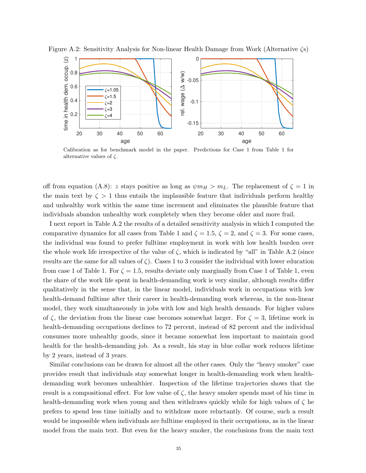

Figure A.2: Sensitivity Analysis for Non-linear Health Damage from Work (Alternative  $\zeta$ s)

Calibration as for benchmark model in the paper. Predictions for Case 1 from Table 1 for alternative values of  $\zeta$ .

off from equation (A.8): z stays positive as long as  $\psi m_H > m_L$ . The replacement of  $\zeta = 1$  in the main text by  $\zeta > 1$  thus entails the implausible feature that individuals perform healthy and unhealthy work within the same time increment and eliminates the plausible feature that individuals abandon unhealthy work completely when they become older and more frail.

I next report in Table A.2 the results of a detailed sensitivity analysis in which I computed the comparative dynamics for all cases from Table 1 and  $\zeta = 1.5$ ,  $\zeta = 2$ , and  $\zeta = 3$ . For some cases, the individual was found to prefer fulltime employment in work with low health burden over the whole work life irrespective of the value of  $\zeta$ , which is indicated by "all" in Table A.2 (since results are the same for all values of  $\zeta$ ). Cases 1 to 3 consider the individual with lower education from case 1 of Table 1. For  $\zeta = 1.5$ , results deviate only marginally from Case 1 of Table 1, even the share of the work life spent in health-demanding work is very similar, although results differ qualitatively in the sense that, in the linear model, individuals work in occupations with low health-demand fulltime after their career in health-demanding work whereas, in the non-linear model, they work simultaneously in jobs with low and high health demands. For higher values of  $\zeta$ , the deviation from the linear case becomes somewhat larger. For  $\zeta = 3$ , lifetime work in health-demanding occupations declines to 72 percent, instead of 82 percent and the individual consumes more unhealthy goods, since it became somewhat less important to maintain good health for the health-demanding job. As a result, his stay in blue collar work reduces lifetime by 2 years, instead of 3 years.

Similar conclusions can be drawn for almost all the other cases. Only the "heavy smoker" case provides result that individuals stay somewhat longer in health-demanding work when healthdemanding work becomes unhealthier. Inspection of the lifetime trajectories shows that the result is a compositional effect. For low value of  $\zeta$ , the heavy smoker spends most of his time in health-demanding work when young and then withdraws quickly while for high values of  $\zeta$  he prefers to spend less time initially and to withdraw more reluctantly. Of course, such a result would be impossible when individuals are fulltime employed in their occupations, as in the linear model from the main text. But even for the heavy smoker, the conclusions from the main text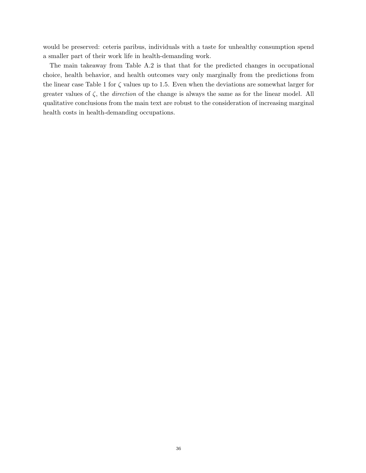would be preserved: ceteris paribus, individuals with a taste for unhealthy consumption spend a smaller part of their work life in health-demanding work.

The main takeaway from Table A.2 is that that for the predicted changes in occupational choice, health behavior, and health outcomes vary only marginally from the predictions from the linear case Table 1 for  $\zeta$  values up to 1.5. Even when the deviations are somewhat larger for greater values of  $\zeta$ , the *direction* of the change is always the same as for the linear model. All qualitative conclusions from the main text are robust to the consideration of increasing marginal health costs in health-demanding occupations.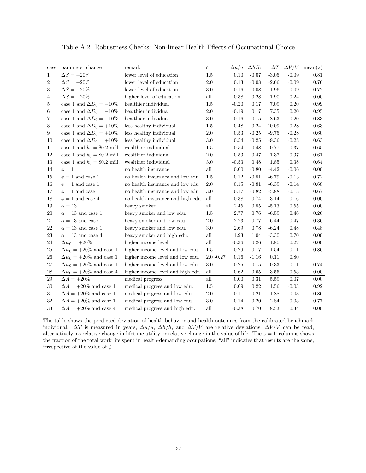| case             | parameter change                | remark                            | $\zeta$              | $\Delta u/u$ | $\Delta h/h$ | $\Delta T$     | $\Delta V/V$ | mean(z)  |
|------------------|---------------------------------|-----------------------------------|----------------------|--------------|--------------|----------------|--------------|----------|
| $\mathbf{1}$     | $\Delta S = -20\%$              | lower level of education          | 1.5                  | 0.10         | $-0.07$      | $\mbox{-}3.05$ | $-0.09$      | $0.81\,$ |
| $\boldsymbol{2}$ | $\Delta S = -20\%$              | lower level of education          | $2.0\,$              | 0.13         | $-0.08$      | $-2.66$        | $-0.09$      | $0.76\,$ |
| $\sqrt{3}$       | $\Delta S = -20\%$              | lower level of education          | $3.0\,$              | 0.16         | $-0.08$      | $-1.96$        | $-0.09$      | $0.72\,$ |
| 4                | $\Delta S = +20\%$              | higher level of education         | all                  | $-0.38$      | 0.28         | 1.90           | 0.24         | 0.00     |
| 5                | case 1 and $\Delta D_0 = -10\%$ | healthier individual              | 1.5                  | $-0.20$      | 0.17         | 7.09           | $0.20\,$     | 0.99     |
| 6                | case 1 and $\Delta D_0 = -10\%$ | healthier individual              | 2.0                  | $-0.19$      | 0.17         | 7.35           | $0.20\,$     | 0.95     |
| 7                | case 1 and $\Delta D_0 = -10\%$ | healthier individual              | $3.0\,$              | $-0.16$      | 0.15         | 8.63           | $0.20\,$     | $0.83\,$ |
| $8\,$            | case 1 and $\Delta D_0 = +10\%$ | less healthy individual           | 1.5                  | 0.48         | $-0.24$      | $-10.09$       | $-0.28$      | 0.63     |
| 9                | case 1 and $\Delta D_0 = +10\%$ | less healthy individual           | 2.0                  | 0.53         | $-0.25$      | $-9.75$        | $-0.28$      | 0.60     |
| 10               | case 1 and $\Delta D_0 = +10\%$ | less healthy individual           | $3.0\,$              | 0.54         | $-0.25$      | $-9.36$        | $-0.28$      | 0.63     |
| 11               | case 1 and $k_0 = $0.2$ mill.   | wealthier individual              | 1.5                  | $-0.54$      | 0.48         | 0.77           | 0.37         | $0.65\,$ |
| 12               | case 1 and $k_0 = $0.2$ mill.   | wealthier individual              | $2.0\,$              | $-0.53$      | 0.47         | 1.37           | 0.37         | $0.61\,$ |
| $13\,$           | case 1 and $k_0 = $0.2$ mill.   | wealthier individual              | $3.0\,$              | $-0.53$      | 0.48         | 1.85           | 0.38         | 0.64     |
| 14               | $\phi=1$                        | no health insurance               | all                  | 0.00         | $-0.80$      | $-4.42$        | $-0.06$      | 0.00     |
| 15               | $\phi = 1$ and case 1           | no health insurance and low edu   | $1.5\,$              | 0.12         | $-0.81$      | $-6.79$        | $-0.13$      | 0.72     |
| 16               | $\phi = 1$ and case 1           | no health insurance and low edu   | 2.0                  | 0.15         | $-0.81$      | $-6.39$        | $-0.14$      | 0.68     |
| 17               | $\phi = 1$ and case 1           | no health insurance and low edu   | 3.0                  | 0.17         | $-0.82$      | $-5.88$        | $-0.13$      | 0.67     |
| 18               | $\phi = 1$ and case 4           | no health insurance and high edu  | $\operatorname{all}$ | $-0.38$      | $-0.74$      | $-3.14$        | 0.16         | 0.00     |
| 19               | $\alpha = 13$                   | heavy smoker                      | all                  | 2.45         | 0.85         | $-5.13$        | $0.55\,$     | $0.00\,$ |
| $20\,$           | $\alpha = 13$ and case 1        | heavy smoker and low edu.         | $1.5\,$              | 2.77         | 0.76         | $-6.59$        | 0.46         | $0.26\,$ |
| 21               | $\alpha = 13$ and case 1        | heavy smoker and low edu.         | $2.0\,$              | 2.73         | 0.77         | $-6.44$        | 0.47         | $0.36\,$ |
| $22\,$           | $\alpha=13$ and case $1$        | heavy smoker and low edu.         | $3.0\,$              | 2.69         | 0.78         | $-6.24$        | 0.48         | $0.48\,$ |
| 23               | $\alpha = 13$ and case 4        | heavy smoker and high edu.        | all                  | 1.93         | 1.04         | $-3.30$        | 0.70         | 0.00     |
| 24               | $\Delta w_0 = +20\%$            | higher income level               | all                  | $-0.36$      | $0.26\,$     | 1.80           | $\rm 0.22$   | 0.00     |
| 25               | $\Delta w_0 = +20\%$ and case 1 | higher income level and low edu.  | 1.5                  | $-0.29$      | 0.17         | $-1.54$        | 0.11         | 0.86     |
| 26               | $\Delta w_0=+20\%$ and case $1$ | higher income level and low edu.  | $2.0 - 0.27$         | 0.16         | $-1.16$      | 0.11           | 0.80         |          |
| $27\,$           | $\Delta w_0 = +20\%$ and case 1 | higher income level and low edu.  | $3.0\,$              | $-0.25$      | 0.15         | $-0.33$        | $0.11\,$     | 0.74     |
| $\sqrt{28}$      | $\Delta w_0 = +20\%$ and case 4 | higher income level and high edu. | all                  | $-0.62$      | 0.65         | 3.55           | 0.53         | 0.00     |
| $\,29$           | $\Delta A = +20\%$              | medical progress                  | $\mathrm{all}$       | 0.00         | $\rm 0.31$   | 5.59           | 0.07         | 0.00     |
| 30               | $\Delta A = +20\%$ and case $1$ | medical progress and low edu.     | 1.5                  | 0.09         | 0.22         | 1.56           | $-0.03$      | 0.92     |
| 31               | $\Delta A = +20\%$ and case 1   | medical progress and low edu.     | $2.0\,$              | 0.11         | $0.21\,$     | 1.88           | $-0.03$      | 0.86     |
| 32               | $\Delta A = +20\%$ and case $1$ | medical progress and low edu.     | $3.0\,$              | 0.14         | 0.20         | 2.84           | $-0.03$      | 0.77     |
| 33               | $\Delta A = +20\%$ and case 4   | medical progress and high edu.    | all                  | $-0.38$      | 0.70         | 8.53           | 0.34         | 0.00     |

Table A.2: Robustness Checks: Non-linear Health Effects of Occupational Choice

The table shows the predicted deviation of health behavior and health outcomes from the calibrated benchmark individual.  $\Delta T$  is measured in years,  $\Delta u/u$ ,  $\Delta h/h$ , and  $\Delta V/V$  are relative deviations;  $\Delta V/V$  can be read, alternatively, as relative change in lifetime utility or relative change in the value of life. The  $z = 1$ –columns shows the fraction of the total work life spent in health-demanding occupations; "all" indicates that results are the same, irrespective of the value of  $\zeta.$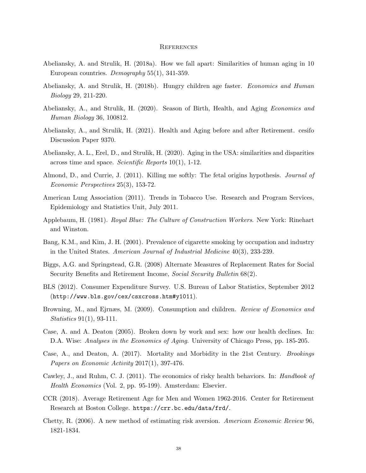#### **REFERENCES**

- Abeliansky, A. and Strulik, H. (2018a). How we fall apart: Similarities of human aging in 10 European countries. Demography 55(1), 341-359.
- Abeliansky, A. and Strulik, H. (2018b). Hungry children age faster. Economics and Human Biology 29, 211-220.
- Abeliansky, A., and Strulik, H. (2020). Season of Birth, Health, and Aging Economics and Human Biology 36, 100812.
- Abeliansky, A., and Strulik, H. (2021). Health and Aging before and after Retirement. cesifo Discussion Paper 9370.
- Abeliansky, A. L., Erel, D., and Strulik, H. (2020). Aging in the USA: similarities and disparities across time and space. Scientific Reports 10(1), 1-12.
- Almond, D., and Currie, J. (2011). Killing me softly: The fetal origins hypothesis. Journal of Economic Perspectives 25(3), 153-72.
- American Lung Association (2011). Trends in Tobacco Use. Research and Program Services, Epidemiology and Statistics Unit, July 2011.
- Applebaum, H. (1981). Royal Blue: The Culture of Construction Workers. New York: Rinehart and Winston.
- Bang, K.M., and Kim, J. H. (2001). Prevalence of cigarette smoking by occupation and industry in the United States. American Journal of Industrial Medicine 40(3), 233-239.
- Biggs, A.G. and Springstead, G.R. (2008) Alternate Measures of Replacement Rates for Social Security Benefits and Retirement Income, Social Security Bulletin 68(2).
- BLS (2012). Consumer Expenditure Survey. U.S. Bureau of Labor Statistics, September 2012 (http://www.bls.gov/cex/csxcross.htm#y1011).
- Browning, M., and Ejrnæs, M. (2009). Consumption and children. *Review of Economics and* Statistics 91(1), 93-111.
- Case, A. and A. Deaton (2005). Broken down by work and sex: how our health declines. In: D.A. Wise: *Analyses in the Economics of Aging*. University of Chicago Press, pp. 185-205.
- Case, A., and Deaton, A. (2017). Mortality and Morbidity in the 21st Century. Brookings Papers on Economic Activity 2017(1), 397-476.
- Cawley, J., and Ruhm, C. J. (2011). The economics of risky health behaviors. In: *Handbook of* Health Economics (Vol. 2, pp. 95-199). Amsterdam: Elsevier.
- CCR (2018). Average Retirement Age for Men and Women 1962-2016. Center for Retirement Research at Boston College. https://crr.bc.edu/data/frd/.
- Chetty, R. (2006). A new method of estimating risk aversion. American Economic Review 96, 1821-1834.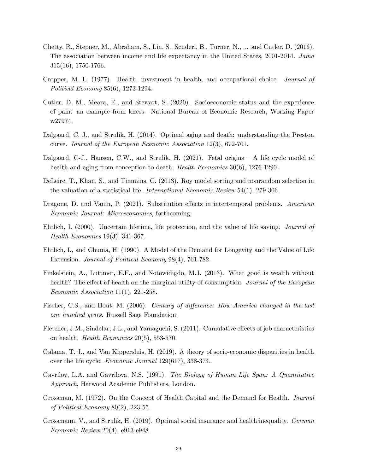- Chetty, R., Stepner, M., Abraham, S., Lin, S., Scuderi, B., Turner, N., ... and Cutler, D. (2016). The association between income and life expectancy in the United States, 2001-2014. Jama 315(16), 1750-1766.
- Cropper, M. L. (1977). Health, investment in health, and occupational choice. Journal of Political Economy 85(6), 1273-1294.
- Cutler, D. M., Meara, E., and Stewart, S. (2020). Socioeconomic status and the experience of pain: an example from knees. National Bureau of Economic Research, Working Paper w27974.
- Dalgaard, C. J., and Strulik, H. (2014). Optimal aging and death: understanding the Preston curve. Journal of the European Economic Association 12(3), 672-701.
- Dalgaard, C-J., Hansen, C.W., and Strulik, H. (2021). Fetal origins A life cycle model of health and aging from conception to death. *Health Economics* 30(6), 1276-1290.
- DeLeire, T., Khan, S., and Timmins, C. (2013). Roy model sorting and nonrandom selection in the valuation of a statistical life. International Economic Review 54(1), 279-306.
- Dragone, D. and Vanin, P. (2021). Substitution effects in intertemporal problems. American Economic Journal: Microeconomics, forthcoming.
- Ehrlich, I. (2000). Uncertain lifetime, life protection, and the value of life saving. Journal of Health Economics 19(3), 341-367.
- Ehrlich, I., and Chuma, H. (1990). A Model of the Demand for Longevity and the Value of Life Extension. Journal of Political Economy 98(4), 761-782.
- Finkelstein, A., Luttmer, E.F., and Notowidigdo, M.J. (2013). What good is wealth without health? The effect of health on the marginal utility of consumption. Journal of the European Economic Association 11(1), 221-258.
- Fischer, C.S., and Hout, M. (2006). Century of difference: How America changed in the last one hundred years. Russell Sage Foundation.
- Fletcher, J.M., Sindelar, J.L., and Yamaguchi, S. (2011). Cumulative effects of job characteristics on health. Health Economics 20(5), 553-570.
- Galama, T. J., and Van Kippersluis, H. (2019). A theory of socio-economic disparities in health over the life cycle. Economic Journal 129(617), 338-374.
- Gavrilov, L.A. and Gavrilova, N.S. (1991). The Biology of Human Life Span: A Quantitative Approach, Harwood Academic Publishers, London.
- Grossman, M. (1972). On the Concept of Health Capital and the Demand for Health. Journal of Political Economy 80(2), 223-55.
- Grossmann, V., and Strulik, H. (2019). Optimal social insurance and health inequality. German Economic Review 20(4), e913-e948.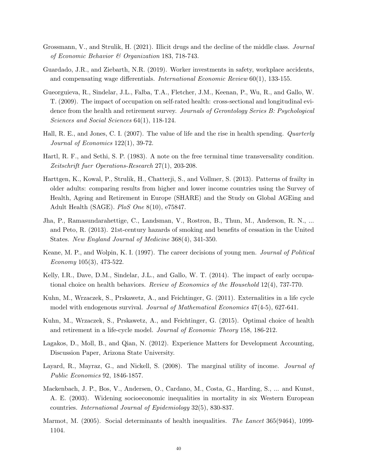- Grossmann, V., and Strulik, H. (2021). Illicit drugs and the decline of the middle class. Journal of Economic Behavior & Organization 183, 718-743.
- Guardado, J.R., and Ziebarth, N.R. (2019). Worker investments in safety, workplace accidents, and compensating wage differentials. International Economic Review 60(1), 133-155.
- Gueorguieva, R., Sindelar, J.L., Falba, T.A., Fletcher, J.M., Keenan, P., Wu, R., and Gallo, W. T. (2009). The impact of occupation on self-rated health: cross-sectional and longitudinal evidence from the health and retirement survey. Journals of Gerontology Series B: Psychological Sciences and Social Sciences 64(1), 118-124.
- Hall, R. E., and Jones, C. I. (2007). The value of life and the rise in health spending. Quarterly Journal of Economics 122(1), 39-72.
- Hartl, R. F., and Sethi, S. P. (1983). A note on the free terminal time transversality condition. Zeitschrift fuer Operations-Research 27(1), 203-208.
- Harttgen, K., Kowal, P., Strulik, H., Chatterji, S., and Vollmer, S. (2013). Patterns of frailty in older adults: comparing results from higher and lower income countries using the Survey of Health, Ageing and Retirement in Europe (SHARE) and the Study on Global AGEing and Adult Health (SAGE). PloS One 8(10), e75847.
- Jha, P., Ramasundarahettige, C., Landsman, V., Rostron, B., Thun, M., Anderson, R. N., ... and Peto, R. (2013). 21st-century hazards of smoking and benefits of cessation in the United States. New England Journal of Medicine 368(4), 341-350.
- Keane, M. P., and Wolpin, K. I. (1997). The career decisions of young men. Journal of Political Economy 105(3), 473-522.
- Kelly, I.R., Dave, D.M., Sindelar, J.L., and Gallo, W. T. (2014). The impact of early occupational choice on health behaviors. Review of Economics of the Household 12(4), 737-770.
- Kuhn, M., Wrzaczek, S., Prskawetz, A., and Feichtinger, G. (2011). Externalities in a life cycle model with endogenous survival. Journal of Mathematical Economics 47(4-5), 627-641.
- Kuhn, M., Wrzaczek, S., Prskawetz, A., and Feichtinger, G. (2015). Optimal choice of health and retirement in a life-cycle model. Journal of Economic Theory 158, 186-212.
- Lagakos, D., Moll, B., and Qian, N. (2012). Experience Matters for Development Accounting, Discussion Paper, Arizona State University.
- Layard, R., Mayraz, G., and Nickell, S. (2008). The marginal utility of income. *Journal of* Public Economics 92, 1846-1857.
- Mackenbach, J. P., Bos, V., Andersen, O., Cardano, M., Costa, G., Harding, S., ... and Kunst, A. E. (2003). Widening socioeconomic inequalities in mortality in six Western European countries. International Journal of Epidemiology 32(5), 830-837.
- Marmot, M. (2005). Social determinants of health inequalities. The Lancet 365(9464), 1099-1104.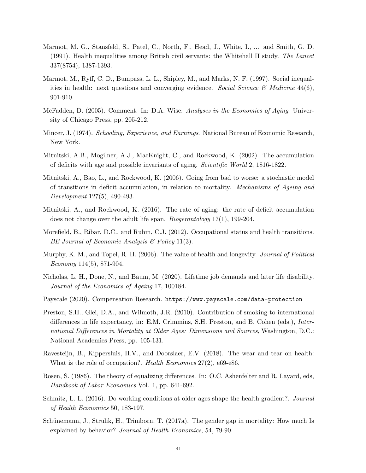- Marmot, M. G., Stansfeld, S., Patel, C., North, F., Head, J., White, I., ... and Smith, G. D. (1991). Health inequalities among British civil servants: the Whitehall II study. The Lancet 337(8754), 1387-1393.
- Marmot, M., Ryff, C. D., Bumpass, L. L., Shipley, M., and Marks, N. F. (1997). Social inequalities in health: next questions and converging evidence. Social Science  $\mathcal{B}$  Medicine 44(6), 901-910.
- McFadden, D. (2005). Comment. In: D.A. Wise: Analyses in the Economics of Aging. University of Chicago Press, pp. 205-212.
- Mincer, J. (1974). Schooling, Experience, and Earnings. National Bureau of Economic Research, New York.
- Mitnitski, A.B., Mogilner, A.J., MacKnight, C., and Rockwood, K. (2002). The accumulation of deficits with age and possible invariants of aging. Scientific World 2, 1816-1822.
- Mitnitski, A., Bao, L., and Rockwood, K. (2006). Going from bad to worse: a stochastic model of transitions in deficit accumulation, in relation to mortality. Mechanisms of Ageing and Development 127(5), 490-493.
- Mitnitski, A., and Rockwood, K. (2016). The rate of aging: the rate of deficit accumulation does not change over the adult life span. Biogerontology 17(1), 199-204.
- Morefield, B., Ribar, D.C., and Ruhm, C.J. (2012). Occupational status and health transitions. BE Journal of Economic Analysis & Policy 11(3).
- Murphy, K. M., and Topel, R. H. (2006). The value of health and longevity. *Journal of Political* Economy 114(5), 871-904.
- Nicholas, L. H., Done, N., and Baum, M. (2020). Lifetime job demands and later life disability. Journal of the Economics of Ageing 17, 100184.
- Payscale (2020). Compensation Research. https://www.payscale.com/data-protection
- Preston, S.H., Glei, D.A., and Wilmoth, J.R. (2010). Contribution of smoking to international differences in life expectancy, in: E.M. Crimmins, S.H. Preston, and B. Cohen (eds.), International Differences in Mortality at Older Ages: Dimensions and Sources, Washington, D.C.: National Academies Press, pp. 105-131.
- Ravesteijn, B., Kippersluis, H.V., and Doorslaer, E.V. (2018). The wear and tear on health: What is the role of occupation?. Health Economics 27(2), e69-e86.
- Rosen, S. (1986). The theory of equalizing differences. In: O.C. Ashenfelter and R. Layard, eds, Handbook of Labor Economics Vol. 1, pp. 641-692.
- Schmitz, L. L. (2016). Do working conditions at older ages shape the health gradient?. Journal of Health Economics 50, 183-197.
- Schünemann, J., Strulik, H., Trimborn, T.  $(2017a)$ . The gender gap in mortality: How much Is explained by behavior? Journal of Health Economics, 54, 79-90.